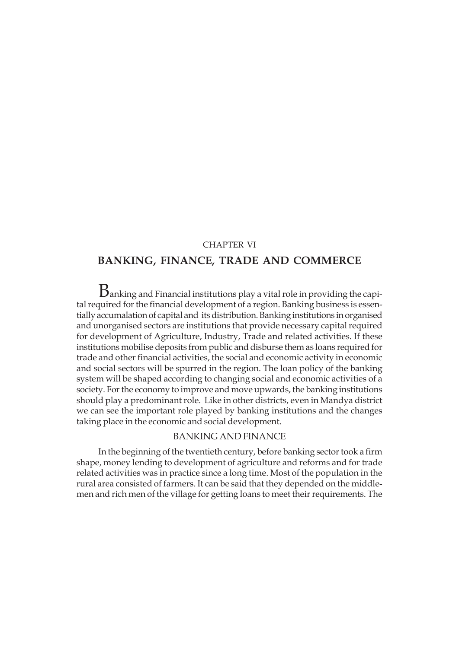### CHAPTER VI

# **BANKING, FINANCE, TRADE AND COMMERCE**

 $\rm B$ anking and Financial institutions play a vital role in providing the capital required for the financial development of a region. Banking business is essentially accumalation of capital and its distribution. Banking institutions in organised and unorganised sectors are institutions that provide necessary capital required for development of Agriculture, Industry, Trade and related activities. If these institutions mobilise deposits from public and disburse them as loans required for trade and other financial activities, the social and economic activity in economic and social sectors will be spurred in the region. The loan policy of the banking system will be shaped according to changing social and economic activities of a society. For the economy to improve and move upwards, the banking institutions should play a predominant role. Like in other districts, even in Mandya district we can see the important role played by banking institutions and the changes taking place in the economic and social development.

### BANKING AND FINANCE

In the beginning of the twentieth century, before banking sector took a firm shape, money lending to development of agriculture and reforms and for trade related activities was in practice since a long time. Most of the population in the rural area consisted of farmers. It can be said that they depended on the middlemen and rich men of the village for getting loans to meet their requirements. The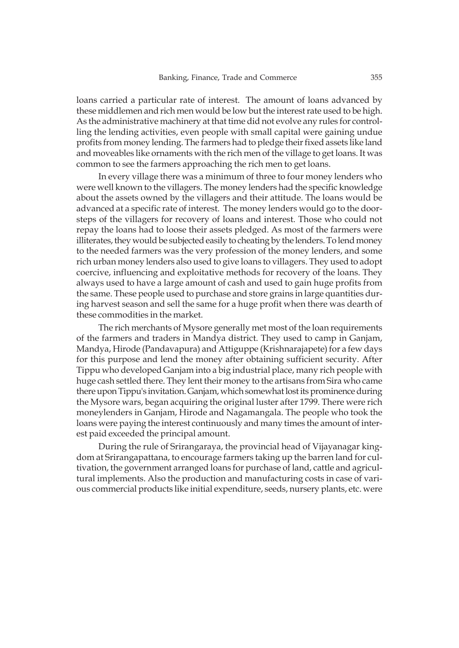loans carried a particular rate of interest. The amount of loans advanced by these middlemen and rich men would be low but the interest rate used to be high. As the administrative machinery at that time did not evolve any rules for controlling the lending activities, even people with small capital were gaining undue profits from money lending. The farmers had to pledge their fixed assets like land and moveables like ornaments with the rich men of the village to get loans. It was common to see the farmers approaching the rich men to get loans.

In every village there was a minimum of three to four money lenders who were well known to the villagers. The money lenders had the specific knowledge about the assets owned by the villagers and their attitude. The loans would be advanced at a specific rate of interest. The money lenders would go to the doorsteps of the villagers for recovery of loans and interest. Those who could not repay the loans had to loose their assets pledged. As most of the farmers were illiterates, they would be subjected easily to cheating by the lenders. To lend money to the needed farmers was the very profession of the money lenders, and some rich urban money lenders also used to give loans to villagers. They used to adopt coercive, influencing and exploitative methods for recovery of the loans. They always used to have a large amount of cash and used to gain huge profits from the same. These people used to purchase and store grains in large quantities during harvest season and sell the same for a huge profit when there was dearth of these commodities in the market.

The rich merchants of Mysore generally met most of the loan requirements of the farmers and traders in Mandya district. They used to camp in Ganjam, Mandya, Hirode (Pandavapura) and Attiguppe (Krishnarajapete) for a few days for this purpose and lend the money after obtaining sufficient security. After Tippu who developed Ganjam into a big industrial place, many rich people with huge cash settled there. They lent their money to the artisans from Sira who came there upon Tippu's invitation. Ganjam, which somewhat lost its prominence during the Mysore wars, began acquiring the original luster after 1799. There were rich moneylenders in Ganjam, Hirode and Nagamangala. The people who took the loans were paying the interest continuously and many times the amount of interest paid exceeded the principal amount.

During the rule of Srirangaraya, the provincial head of Vijayanagar kingdom at Srirangapattana, to encourage farmers taking up the barren land for cultivation, the government arranged loans for purchase of land, cattle and agricultural implements. Also the production and manufacturing costs in case of various commercial products like initial expenditure, seeds, nursery plants, etc. were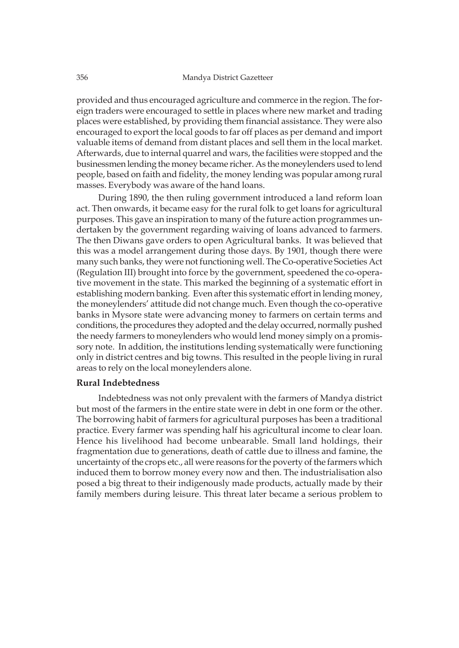provided and thus encouraged agriculture and commerce in the region. The foreign traders were encouraged to settle in places where new market and trading places were established, by providing them financial assistance. They were also encouraged to export the local goods to far off places as per demand and import valuable items of demand from distant places and sell them in the local market. Afterwards, due to internal quarrel and wars, the facilities were stopped and the businessmen lending the money became richer. As the moneylenders used to lend people, based on faith and fidelity, the money lending was popular among rural masses. Everybody was aware of the hand loans.

During 1890, the then ruling government introduced a land reform loan act. Then onwards, it became easy for the rural folk to get loans for agricultural purposes. This gave an inspiration to many of the future action programmes undertaken by the government regarding waiving of loans advanced to farmers. The then Diwans gave orders to open Agricultural banks. It was believed that this was a model arrangement during those days. By 1901, though there were many such banks, they were not functioning well. The Co-operative Societies Act (Regulation III) brought into force by the government, speedened the co-operative movement in the state. This marked the beginning of a systematic effort in establishing modern banking. Even after this systematic effort in lending money, the moneylenders' attitude did not change much. Even though the co-operative banks in Mysore state were advancing money to farmers on certain terms and conditions, the procedures they adopted and the delay occurred, normally pushed the needy farmers to moneylenders who would lend money simply on a promissory note. In addition, the institutions lending systematically were functioning only in district centres and big towns. This resulted in the people living in rural areas to rely on the local moneylenders alone.

### **Rural Indebtedness**

Indebtedness was not only prevalent with the farmers of Mandya district but most of the farmers in the entire state were in debt in one form or the other. The borrowing habit of farmers for agricultural purposes has been a traditional practice. Every farmer was spending half his agricultural income to clear loan. Hence his livelihood had become unbearable. Small land holdings, their fragmentation due to generations, death of cattle due to illness and famine, the uncertainty of the crops etc., all were reasons for the poverty of the farmers which induced them to borrow money every now and then. The industrialisation also posed a big threat to their indigenously made products, actually made by their family members during leisure. This threat later became a serious problem to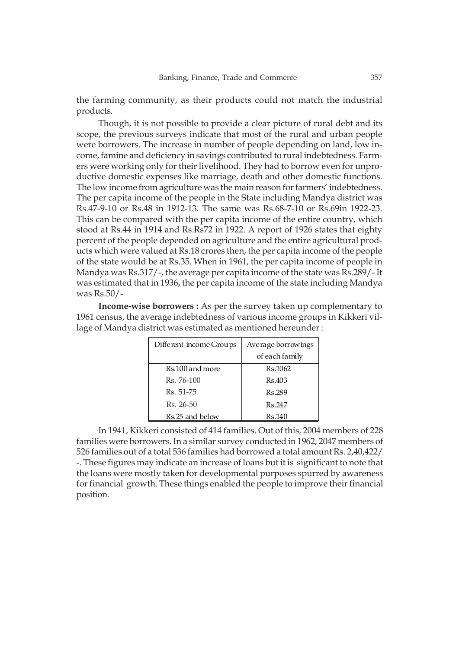the farming community, as their products could not match the industrial products.

Though, it is not possible to provide a clear picture of rural debt and its scope, the previous surveys indicate that most of the rural and urban people were borrowers. The increase in number of people depending on land, low income, famine and deficiency in savings contributed to rural indebtedness. Farmers were working only for their livelihood. They had to borrow even for unproductive domestic expenses like marriage, death and other domestic functions. The low income from agriculture was the main reason for farmers' indebtedness. The per capita income of the people in the State including Mandya district was Rs.47-9-10 or Rs.48 in 1912-13. The same was Rs.68-7-10 or Rs.69in 1922-23. This can be compared with the per capita income of the entire country, which stood at Rs.44 in 1914 and Rs.Rs72 in 1922. A report of 1926 states that eighty percent of the people depended on agriculture and the entire agricultural products which were valued at Rs.18 crores then, the per capita income of the people of the state would be at Rs.35. When in 1961, the per capita income of people in Mandya was Rs.317/-, the average per capita income of the state was Rs.289/- It was estimated that in 1936, the per capita income of the state including Mandya was Rs.50/-

**Income-wise borrowers :** As per the survey taken up complementary to 1961 census, the average indebtedness of various income groups in Kikkeri village of Mandya district was estimated as mentioned hereunder :

| Different income Groups | Average borrowings |
|-------------------------|--------------------|
|                         | of each family     |
| Rs. 100 and more        | Rs.1062            |
| Rs. 76-100              | Rs.403             |
| Rs. 51-75               | Rs.289             |
| Rs. 26-50               | Rs.247             |
| Rs. 25 and below        | Rs.140             |

In 1941, Kikkeri consisted of 414 families. Out of this, 2004 members of 228 families were borrowers. In a similar survey conducted in 1962, 2047 members of 526 families out of a total 536 families had borrowed a total amount Rs. 2,40,422/ -. These figures may indicate an increase of loans but it is significant to note that the loans were mostly taken for developmental purposes spurred by awareness for financial growth. These things enabled the people to improve their financial position.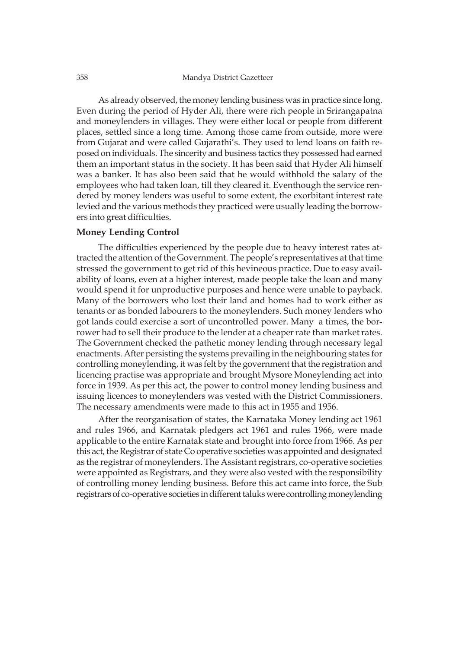As already observed, the money lending business was in practice since long. Even during the period of Hyder Ali, there were rich people in Srirangapatna and moneylenders in villages. They were either local or people from different places, settled since a long time. Among those came from outside, more were from Gujarat and were called Gujarathi's. They used to lend loans on faith reposed on individuals. The sincerity and business tactics they possessed had earned them an important status in the society. It has been said that Hyder Ali himself was a banker. It has also been said that he would withhold the salary of the employees who had taken loan, till they cleared it. Eventhough the service rendered by money lenders was useful to some extent, the exorbitant interest rate levied and the various methods they practiced were usually leading the borrowers into great difficulties.

### **Money Lending Control**

The difficulties experienced by the people due to heavy interest rates attracted the attention of the Government. The people's representatives at that time stressed the government to get rid of this hevineous practice. Due to easy availability of loans, even at a higher interest, made people take the loan and many would spend it for unproductive purposes and hence were unable to payback. Many of the borrowers who lost their land and homes had to work either as tenants or as bonded labourers to the moneylenders. Such money lenders who got lands could exercise a sort of uncontrolled power. Many a times, the borrower had to sell their produce to the lender at a cheaper rate than market rates. The Government checked the pathetic money lending through necessary legal enactments. After persisting the systems prevailing in the neighbouring states for controlling moneylending, it was felt by the government that the registration and licencing practise was appropriate and brought Mysore Moneylending act into force in 1939. As per this act, the power to control money lending business and issuing licences to moneylenders was vested with the District Commissioners. The necessary amendments were made to this act in 1955 and 1956.

After the reorganisation of states, the Karnataka Money lending act 1961 and rules 1966, and Karnatak pledgers act 1961 and rules 1966, were made applicable to the entire Karnatak state and brought into force from 1966. As per this act, the Registrar of state Co operative societies was appointed and designated as the registrar of moneylenders. The Assistant registrars, co-operative societies were appointed as Registrars, and they were also vested with the responsibility of controlling money lending business. Before this act came into force, the Sub registrars of co-operative societies in different taluks were controlling moneylending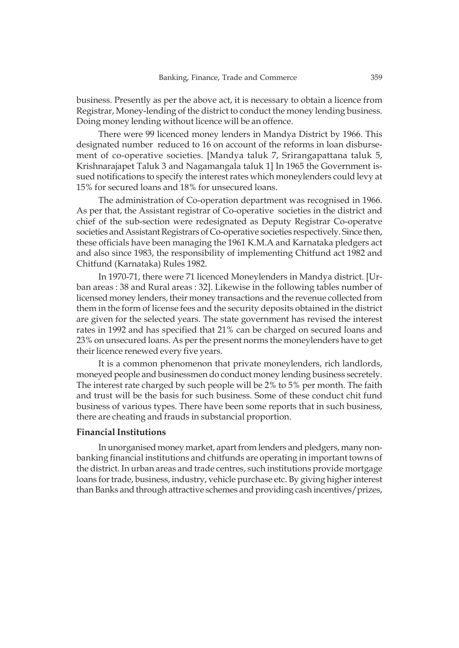business. Presently as per the above act, it is necessary to obtain a licence from Registrar, Money-lending of the district to conduct the money lending business. Doing money lending without licence will be an offence.

There were 99 licenced money lenders in Mandya District by 1966. This designated number reduced to 16 on account of the reforms in loan disbursement of co-operative societies. [Mandya taluk 7, Srirangapattana taluk 5, Krishnarajapet Taluk 3 and Nagamangala taluk 1] In 1965 the Government issued notifications to specify the interest rates which moneylenders could levy at 15% for secured loans and 18% for unsecured loans.

The administration of Co-operation department was recognised in 1966. As per that, the Assistant registrar of Co-operative societies in the district and chief of the sub-section were redesignated as Deputy Registrar Co-operatve societies and Assistant Registrars of Co-operative societies respectively. Since then, these officials have been managing the 1961 K.M.A and Karnataka pledgers act and also since 1983, the responsibility of implementing Chitfund act 1982 and Chitfund (Karnataka) Rules 1982.

In 1970-71, there were 71 licenced Moneylenders in Mandya district. [Urban areas : 38 and Rural areas : 32]. Likewise in the following tables number of licensed money lenders, their money transactions and the revenue collected from them in the form of license fees and the security deposits obtained in the district are given for the selected years. The state government has revised the interest rates in 1992 and has specified that 21% can be charged on secured loans and 23% on unsecured loans. As per the present norms the moneylenders have to get their licence renewed every five years.

It is a common phenomenon that private moneylenders, rich landlords, moneyed people and businessmen do conduct money lending business secretely. The interest rate charged by such people will be 2% to 5% per month. The faith and trust will be the basis for such business. Some of these conduct chit fund business of various types. There have been some reports that in such business, there are cheating and frauds in substancial proportion.

### **Financial Institutions**

In unorganised money market, apart from lenders and pledgers, many nonbanking financial institutions and chitfunds are operating in important towns of the district. In urban areas and trade centres, such institutions provide mortgage loans for trade, business, industry, vehicle purchase etc. By giving higher interest than Banks and through attractive schemes and providing cash incentives/prizes,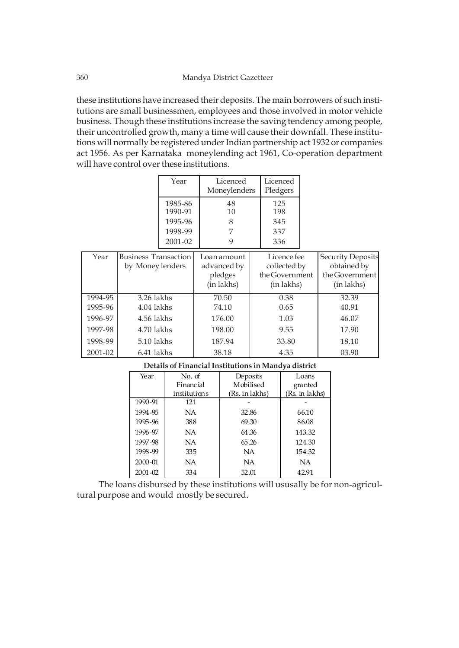these institutions have increased their deposits. The main borrowers of such institutions are small businessmen, employees and those involved in motor vehicle business. Though these institutions increase the saving tendency among people, their uncontrolled growth, many a time will cause their downfall. These institutions will normally be registered under Indian partnership act 1932 or companies act 1956. As per Karnataka moneylending act 1961, Co-operation department will have control over these institutions.

| Year               | Licenced<br>Moneylenders | Licenced<br>Pledgers |
|--------------------|--------------------------|----------------------|
| 1985-86<br>1990-91 | 48<br>10                 | 125<br>198           |
| 1995-96            |                          | 345                  |
| 1998-99            |                          | 337                  |
| $2001 - 02$        |                          | 336                  |

| Year               | <b>Business Transaction</b><br>by Money lenders | Loan amount<br>advanced by<br>pledges<br>(in lakhs) | Licence fee<br>collected by<br>the Government<br>(in lakhs) | <b>Security Deposits</b><br>obtained by<br>the Government<br>(in lakhs) |
|--------------------|-------------------------------------------------|-----------------------------------------------------|-------------------------------------------------------------|-------------------------------------------------------------------------|
| 1994-95<br>1995-96 | $3.26$ lakhs<br>4.04 lakhs                      | 70.50<br>74.10                                      | 0.38<br>0.65                                                | 32.39<br>40.91                                                          |
| 1996-97            | 4.56 lakhs                                      | 176.00                                              | 1.03                                                        | 46.07                                                                   |
| 1997-98            | 4.70 lakhs                                      | 198.00                                              | 9.55                                                        | 17.90                                                                   |
| 1998-99            | 5.10 lakhs                                      | 187.94                                              | 33.80                                                       | 18.10                                                                   |
| 2001-02            | 6.41 lakhs                                      | 38.18                                               | 4.35                                                        | 03.90                                                                   |

| Year        | No. of           | Deposits       | Loans          |
|-------------|------------------|----------------|----------------|
|             | <b>Financial</b> | Mobilised      | granted        |
|             | institutions     | (Rs. in lakhs) | (Rs. in lakhs) |
| 1990-91     | 121              |                |                |
| 1994-95     | NA               | 32.86          | 66.10          |
| 1995-96     | 388              | 69.30          | 86.08          |
| 1996-97     | NA               | 64.36          | 143.32         |
| 1997-98     | NA               | 65.26          | 124.30         |
| 1998-99     | 335              | <b>NA</b>      | 154.32         |
| 2000-01     | NA               | NA             | NA             |
| $2001 - 02$ | 334              | 52.01          | 42.91          |

**Details of Financial Institutions in Mandya district**

The loans disbursed by these institutions will ususally be for non-agricultural purpose and would mostly be secured.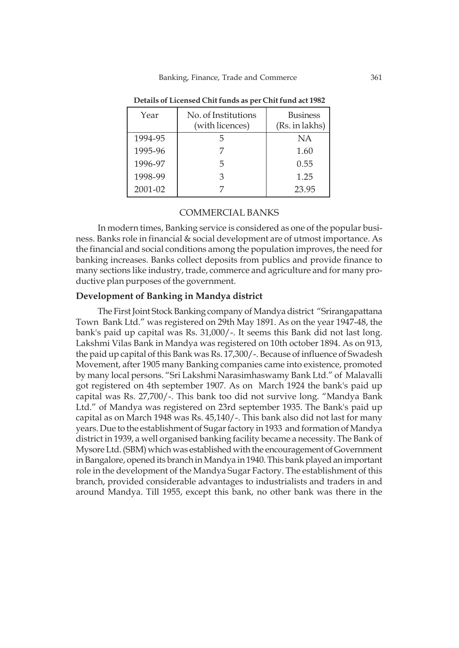| Year    | No. of Institutions<br>(with licences) | <b>Business</b><br>(Rs. in lakhs) |
|---------|----------------------------------------|-----------------------------------|
| 1994-95 |                                        | NA                                |
| 1995-96 |                                        | 1.60                              |
| 1996-97 | b.                                     | 0.55                              |
| 1998-99 |                                        | 1.25                              |
| 2001-02 |                                        | 23.95                             |

**Details of Licensed Chit funds as per Chit fund act 1982**

### COMMERCIAL BANKS

In modern times, Banking service is considered as one of the popular business. Banks role in financial & social development are of utmost importance. As the financial and social conditions among the population improves, the need for banking increases. Banks collect deposits from publics and provide finance to many sections like industry, trade, commerce and agriculture and for many productive plan purposes of the government.

### **Development of Banking in Mandya district**

The First Joint Stock Banking company of Mandya district "Srirangapattana Town Bank Ltd." was registered on 29th May 1891. As on the year 1947-48, the bank's paid up capital was Rs. 31,000/-. It seems this Bank did not last long. Lakshmi Vilas Bank in Mandya was registered on 10th october 1894. As on 913, the paid up capital of this Bank was Rs. 17,300/-. Because of influence of Swadesh Movement, after 1905 many Banking companies came into existence, promoted by many local persons. "Sri Lakshmi Narasimhaswamy Bank Ltd." of Malavalli got registered on 4th september 1907. As on March 1924 the bank's paid up capital was Rs. 27,700/-. This bank too did not survive long. "Mandya Bank Ltd." of Mandya was registered on 23rd september 1935. The Bank's paid up capital as on March 1948 was Rs. 45,140/-. This bank also did not last for many years. Due to the establishment of Sugar factory in 1933 and formation of Mandya district in 1939, a well organised banking facility became a necessity. The Bank of Mysore Ltd. (SBM) which was established with the encouragement of Government in Bangalore, opened its branch in Mandya in 1940. This bank played an important role in the development of the Mandya Sugar Factory. The establishment of this branch, provided considerable advantages to industrialists and traders in and around Mandya. Till 1955, except this bank, no other bank was there in the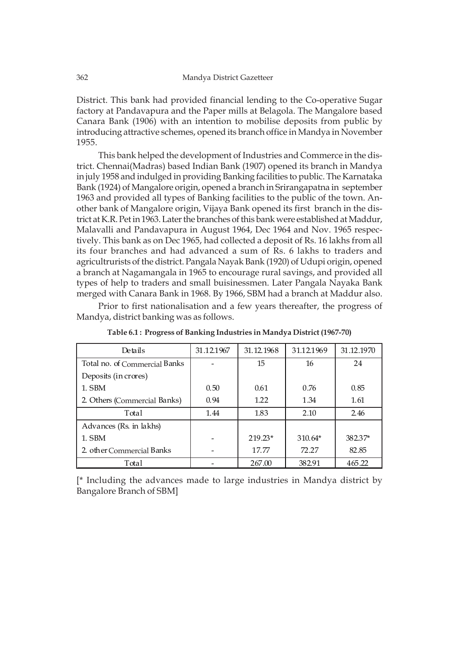District. This bank had provided financial lending to the Co-operative Sugar factory at Pandavapura and the Paper mills at Belagola. The Mangalore based Canara Bank (1906) with an intention to mobilise deposits from public by introducing attractive schemes, opened its branch office in Mandya in November 1955.

This bank helped the development of Industries and Commerce in the district. Chennai(Madras) based Indian Bank (1907) opened its branch in Mandya in july 1958 and indulged in providing Banking facilities to public. The Karnataka Bank (1924) of Mangalore origin, opened a branch in Srirangapatna in september 1963 and provided all types of Banking facilities to the public of the town. Another bank of Mangalore origin, Vijaya Bank opened its first branch in the district at K.R. Pet in 1963. Later the branches of this bank were established at Maddur, Malavalli and Pandavapura in August 1964, Dec 1964 and Nov. 1965 respectively. This bank as on Dec 1965, had collected a deposit of Rs. 16 lakhs from all its four branches and had advanced a sum of Rs. 6 lakhs to traders and agricultrurists of the district. Pangala Nayak Bank (1920) of Udupi origin, opened a branch at Nagamangala in 1965 to encourage rural savings, and provided all types of help to traders and small buisinessmen. Later Pangala Nayaka Bank merged with Canara Bank in 1968. By 1966, SBM had a branch at Maddur also.

Prior to first nationalisation and a few years thereafter, the progress of Mandya, district banking was as follows.

| Details                       | 31.12.1967 | 31.12.1968 | 31.12.1969 | 31.12.1970 |
|-------------------------------|------------|------------|------------|------------|
| Total no. of Commercial Banks |            | 15         | 16         | 24         |
| Deposits (in crores)          |            |            |            |            |
| 1. SBM                        | 0.50       | 0.61       | 0.76       | 0.85       |
| 2. Others (Commercial Banks)  | 0.94       | 1.22       | 1.34       | 1.61       |
| Total                         | 1.44       | 1.83       | 2.10       | 2.46       |
| Advances (Rs. in lakhs)       |            |            |            |            |
| 1. SBM                        |            | 219.23*    | $310.64*$  | 382.37*    |
| 2. other Commercial Banks     |            | 17.77      | 72.27      | 82.85      |
| Total                         |            | 267.00     | 382.91     | 465.22     |

**Table 6.1 : Progress of Banking Industries in Mandya District (1967-70)**

[\* Including the advances made to large industries in Mandya district by Bangalore Branch of SBM]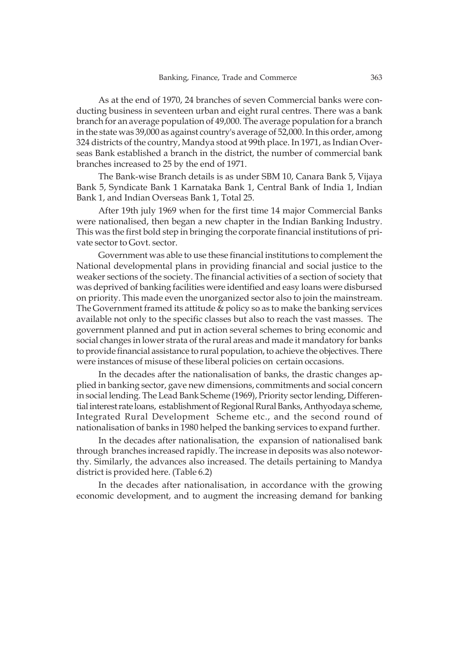As at the end of 1970, 24 branches of seven Commercial banks were conducting business in seventeen urban and eight rural centres. There was a bank branch for an average population of 49,000. The average population for a branch in the state was 39,000 as against country's average of 52,000. In this order, among 324 districts of the country, Mandya stood at 99th place. In 1971, as Indian Overseas Bank established a branch in the district, the number of commercial bank branches increased to 25 by the end of 1971.

The Bank-wise Branch details is as under SBM 10, Canara Bank 5, Vijaya Bank 5, Syndicate Bank 1 Karnataka Bank 1, Central Bank of India 1, Indian Bank 1, and Indian Overseas Bank 1, Total 25.

After 19th july 1969 when for the first time 14 major Commercial Banks were nationalised, then began a new chapter in the Indian Banking Industry. This was the first bold step in bringing the corporate financial institutions of private sector to Govt. sector.

Government was able to use these financial institutions to complement the National developmental plans in providing financial and social justice to the weaker sections of the society. The financial activities of a section of society that was deprived of banking facilities were identified and easy loans were disbursed on priority. This made even the unorganized sector also to join the mainstream. The Government framed its attitude & policy so as to make the banking services available not only to the specific classes but also to reach the vast masses. The government planned and put in action several schemes to bring economic and social changes in lower strata of the rural areas and made it mandatory for banks to provide financial assistance to rural population, to achieve the objectives. There were instances of misuse of these liberal policies on certain occasions.

In the decades after the nationalisation of banks, the drastic changes applied in banking sector, gave new dimensions, commitments and social concern in social lending. The Lead Bank Scheme (1969), Priority sector lending, Differential interest rate loans, establishment of Regional Rural Banks, Anthyodaya scheme, Integrated Rural Development Scheme etc., and the second round of nationalisation of banks in 1980 helped the banking services to expand further.

In the decades after nationalisation, the expansion of nationalised bank through branches increased rapidly. The increase in deposits was also noteworthy. Similarly, the advances also increased. The details pertaining to Mandya district is provided here. (Table 6.2)

In the decades after nationalisation, in accordance with the growing economic development, and to augment the increasing demand for banking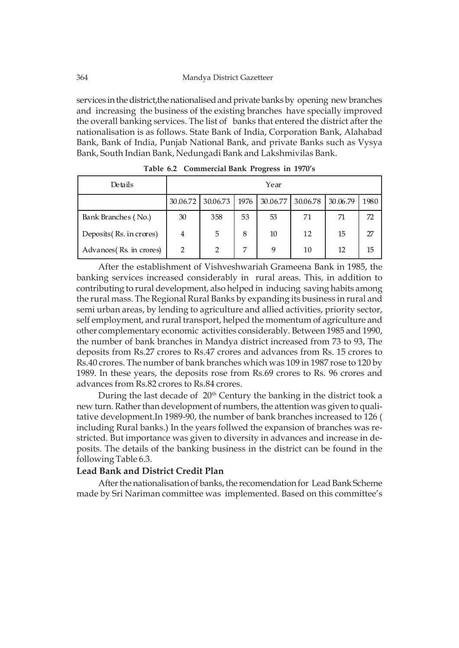services in the district, the nationalised and private banks by opening new branches and increasing the business of the existing branches have specially improved the overall banking services. The list of banks that entered the district after the nationalisation is as follows. State Bank of India, Corporation Bank, Alahabad Bank, Bank of India, Punjab National Bank, and private Banks such as Vysya Bank, South Indian Bank, Nedungadi Bank and Lakshmivilas Bank.

| Details                  |                |                |      | Year     |          |          |      |
|--------------------------|----------------|----------------|------|----------|----------|----------|------|
|                          | 30.06.72       | 30.06.73       | 1976 | 30.06.77 | 30.06.78 | 30.06.79 | 1980 |
| Bank Branches (No.)      | 30             | 358            | 53   | 53       | 71       | 71       | 72   |
| Deposits (Rs. in crores) | $\overline{4}$ | 5              | 8    | 10       | 12       | 15       | 27   |
| Advances (Rs. in crores) | 2              | $\overline{2}$ | 7    | 9        | 10       | 12       | 15   |

**Table 6.2 Commercial Bank Progress in 1970's**

After the establishment of Vishveshwariah Grameena Bank in 1985, the banking services increased considerably in rural areas. This, in addition to contributing to rural development, also helped in inducing saving habits among the rural mass. The Regional Rural Banks by expanding its business in rural and semi urban areas, by lending to agriculture and allied activities, priority sector, self employment, and rural transport, helped the momentum of agriculture and other complementary economic activities considerably. Between 1985 and 1990, the number of bank branches in Mandya district increased from 73 to 93, The deposits from Rs.27 crores to Rs.47 crores and advances from Rs. 15 crores to Rs.40 crores. The number of bank branches which was 109 in 1987 rose to 120 by 1989. In these years, the deposits rose from Rs.69 crores to Rs. 96 crores and advances from Rs.82 crores to Rs.84 crores.

During the last decade of 20<sup>th</sup> Century the banking in the district took a new turn. Rather than development of numbers, the attention was given to qualitative development.In 1989-90, the number of bank branches increased to 126 ( including Rural banks.) In the years follwed the expansion of branches was restricted. But importance was given to diversity in advances and increase in deposits. The details of the banking business in the district can be found in the following Table 6.3.

### **Lead Bank and District Credit Plan**

After the nationalisation of banks, the recomendation for Lead Bank Scheme made by Sri Nariman committee was implemented. Based on this committee's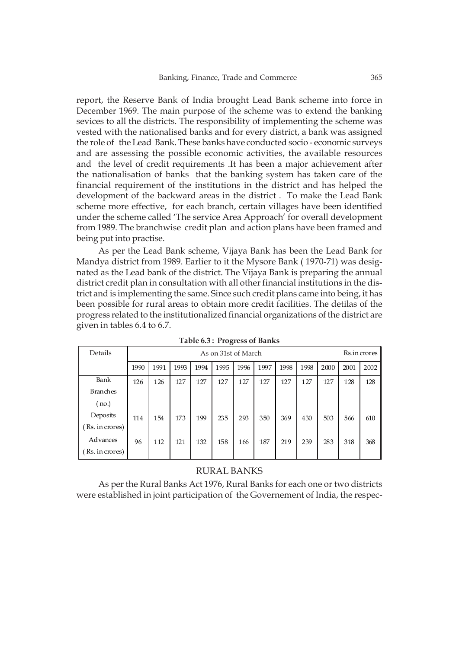report, the Reserve Bank of India brought Lead Bank scheme into force in December 1969. The main purpose of the scheme was to extend the banking sevices to all the districts. The responsibility of implementing the scheme was vested with the nationalised banks and for every district, a bank was assigned the role of the Lead Bank. These banks have conducted socio - economic surveys and are assessing the possible economic activities, the available resources and the level of credit requirements .It has been a major achievement after the nationalisation of banks that the banking system has taken care of the financial requirement of the institutions in the district and has helped the development of the backward areas in the district . To make the Lead Bank scheme more effective, for each branch, certain villages have been identified under the scheme called 'The service Area Approach' for overall development from 1989. The branchwise credit plan and action plans have been framed and being put into practise.

As per the Lead Bank scheme, Vijaya Bank has been the Lead Bank for Mandya district from 1989. Earlier to it the Mysore Bank ( 1970-71) was designated as the Lead bank of the district. The Vijaya Bank is preparing the annual district credit plan in consultation with all other financial institutions in the district and is implementing the same. Since such credit plans came into being, it has been possible for rural areas to obtain more credit facilities. The detilas of the progress related to the institutionalized financial organizations of the district are given in tables 6.4 to 6.7.

| Details         |      |      |      |      | ~<br>As on 31st of March |      |      |      |      |      |      | Rs.in crores |
|-----------------|------|------|------|------|--------------------------|------|------|------|------|------|------|--------------|
|                 | 1990 | 1991 | 1993 | 1994 | 1995                     | 1996 | 1997 | 1998 | 1998 | 2000 | 2001 | 2002         |
| Bank            | 126  | 126  | 127  | 127  | 127                      | 127  | 127  | 127  | 127  | 127  | 128  | 128          |
| <b>Branches</b> |      |      |      |      |                          |      |      |      |      |      |      |              |
| no.)            |      |      |      |      |                          |      |      |      |      |      |      |              |
| Deposits        | 114  | 154  | 173  | 199  | 235                      | 293  | 350  | 369  | 430  | 503  | 566  | 610          |
| (Rs. in crores) |      |      |      |      |                          |      |      |      |      |      |      |              |
| Advances        | 96   | 112  | 121  | 132  | 158                      | 166  | 187  | 219  | 239  | 283  | 318  | 368          |
| (Rs. in crores) |      |      |      |      |                          |      |      |      |      |      |      |              |

**Table 6.3 : Progress of Banks**

### RURAL BANKS

As per the Rural Banks Act 1976, Rural Banks for each one or two districts were established in joint participation of the Governement of India, the respec-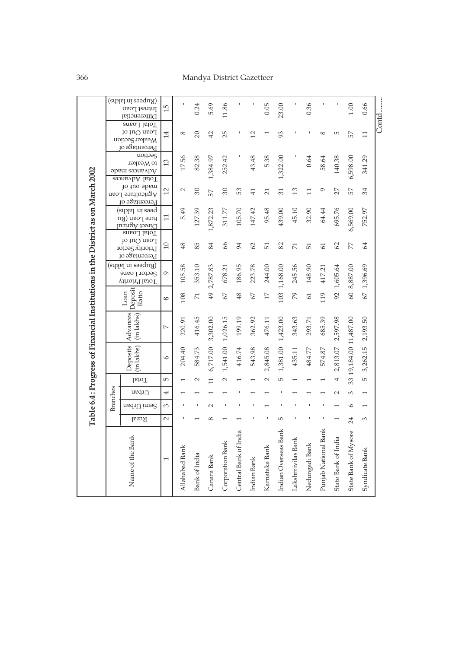# 366 Mandya District Gazetteer

|                                                                                 |                 | (adaki ni akha)<br>Intrest Loan  | $\overline{15}$ |                | 0.24           | 5.69           | 11.86            |                       |                 | 0.05            | 23.00                |                   | 0.36           |                      |                     | 1.00                 | 0.66            |       |
|---------------------------------------------------------------------------------|-----------------|----------------------------------|-----------------|----------------|----------------|----------------|------------------|-----------------------|-----------------|-----------------|----------------------|-------------------|----------------|----------------------|---------------------|----------------------|-----------------|-------|
|                                                                                 |                 | Differenctial                    |                 |                |                |                |                  |                       |                 |                 |                      |                   |                |                      |                     |                      |                 | Contd |
|                                                                                 |                 | Total Loans<br>Loan Out of       |                 | 8              |                |                |                  |                       |                 |                 |                      |                   |                | 8                    | 5                   |                      |                 |       |
|                                                                                 |                 | Weaker Section                   | 14              |                | $\overline{c}$ | 42             | 25               |                       | $\overline{12}$ |                 | 93                   |                   |                |                      |                     | 57                   | $\overline{11}$ |       |
|                                                                                 |                 | Percentage of                    |                 |                |                |                |                  |                       |                 |                 |                      |                   |                |                      |                     |                      |                 |       |
|                                                                                 |                 | uonoas                           |                 |                |                |                |                  |                       |                 |                 |                      |                   |                |                      |                     |                      |                 |       |
|                                                                                 |                 | to Weaker                        | 13              | 17.56          | 82.38          |                | 252.42           |                       | 43.48           | 5.38            |                      |                   | 0.64           | 58.64                | 140.38              |                      | 341.29          |       |
|                                                                                 |                 | Advances made                    |                 |                |                | 1,384.97       |                  |                       |                 |                 | 1,322.00             |                   |                |                      |                     | 6,598.00             |                 |       |
|                                                                                 |                 | Total Advances                   |                 |                |                |                |                  |                       |                 |                 |                      |                   |                |                      |                     |                      |                 |       |
|                                                                                 |                 | jo ino apeur<br>Agriculture Loan | $\overline{12}$ | $\sim$         | 30             | 57             | 30               | 53                    | $\overline{41}$ | $\overline{21}$ | 31                   | 13                | $\Box$         | ç                    | 27                  | 57                   | 34              |       |
|                                                                                 |                 | Percentage of                    |                 |                |                |                |                  |                       |                 |                 |                      |                   |                |                      |                     |                      |                 |       |
|                                                                                 |                 | (suylal ni essq                  |                 |                |                |                |                  |                       |                 |                 |                      |                   |                |                      |                     |                      |                 |       |
|                                                                                 |                 | ture Loan (Ru                    | $\Box$          | 5.49           | 127.39         |                | 311.77           | 105.70                | 147.42          | 95.48           | 439.00               | 45.10             | 32.90          | 64.44                | 695.76              |                      | 752.97          |       |
|                                                                                 |                 | Direct Agricul                   |                 |                |                | 1,872.23       |                  |                       |                 |                 |                      |                   |                |                      |                     | 6,569.00             |                 |       |
|                                                                                 |                 | Total Loans                      |                 |                |                |                |                  |                       |                 |                 |                      |                   |                |                      |                     |                      |                 |       |
|                                                                                 |                 | Loan Out of                      | $\Box$          | 48             | 85             | 84             | 66               | 94                    | 62              | $\overline{51}$ | 82                   | 71                | 51             | 61                   | 62                  | 77                   | 64              |       |
|                                                                                 |                 | Priority Sector<br>Percentage of |                 |                |                |                |                  |                       |                 |                 |                      |                   |                |                      |                     |                      |                 |       |
|                                                                                 |                 |                                  |                 |                |                |                |                  |                       |                 |                 |                      |                   |                |                      |                     |                      |                 |       |
|                                                                                 |                 | (adabi ni ashqu)<br>Sector Loans | $\circ$         | 105.58         | 353.10         | 2,787.83       | 678.21           | 186.95                | 223.78          | 244.00          |                      | 245.56            | 148.90         | 417.21               |                     | 8,887.00             |                 |       |
|                                                                                 |                 | Vittoir <sup>q</sup> lstoT       |                 |                |                |                |                  |                       |                 |                 |                      |                   |                |                      |                     |                      |                 |       |
|                                                                                 |                 |                                  |                 |                |                |                |                  |                       |                 |                 |                      |                   |                |                      | 92 1,605.64         |                      | 67 1,396.69     |       |
|                                                                                 |                 | Deposit<br>Loan<br>Ratio         | $\infty$        | 108            | $\overline{7}$ | $\overline{6}$ | 67               | 48                    | 67              | $\overline{17}$ | 103 1,168.00         | 79                | 61             | 119                  |                     | $60\,$               |                 |       |
|                                                                                 |                 |                                  |                 |                |                |                |                  |                       |                 |                 |                      |                   |                |                      |                     |                      |                 |       |
|                                                                                 |                 |                                  |                 |                |                |                |                  |                       |                 |                 |                      |                   |                |                      |                     |                      |                 |       |
|                                                                                 |                 | Advances<br>(in lakhs)           | $\sim$          | 220.91         | 416.45         | 3,302.00       | 1,026.15         | 199.19                | 362.92          | 476.11          | 1,423.00             | 343.63            | 293.71         | 685.39               | 2,597.98            |                      | 2,193.50        |       |
|                                                                                 |                 |                                  |                 |                |                |                |                  |                       |                 |                 |                      |                   |                |                      |                     |                      |                 |       |
|                                                                                 |                 |                                  |                 |                |                |                |                  |                       |                 |                 |                      |                   |                |                      |                     |                      |                 |       |
|                                                                                 |                 | Deposits<br>(in lakhs)           |                 |                |                |                | 1,541.00         |                       |                 |                 |                      |                   |                |                      |                     | 19,184.00 11,487.00  |                 |       |
|                                                                                 |                 |                                  | $\circ$         | 204.40         | 584.73         |                |                  | 416.74                | 543.98          |                 |                      | 435.11            | 484.77         | 574.87               |                     |                      |                 |       |
|                                                                                 |                 |                                  |                 |                |                | 6,717.00       |                  |                       |                 | 2,845.08        | 1,381.00             |                   |                |                      | 2,813.07            |                      | 3,262.15        |       |
| Table 6.4 : Progress of Financial Institutions in the District as on March 2002 |                 | <b>I</b> stoT                    | LO.             |                | $\sim$         | $\Box$         | $\sim$           |                       |                 | $\sim$          | LN,                  |                   |                |                      |                     | 33                   | LO.             |       |
|                                                                                 |                 | $u$ eq $I1$                      | 4               |                |                |                |                  |                       |                 |                 |                      |                   |                |                      | $\sim$              | 3                    |                 |       |
|                                                                                 | <b>Branches</b> | Semi Urban                       | 3               |                |                | $\sim$         |                  |                       |                 |                 |                      |                   |                |                      |                     | $\circ$              |                 |       |
|                                                                                 |                 | Rural                            | $\sim$          |                |                | ∞              |                  |                       |                 |                 | 5                    |                   |                |                      |                     | 24                   | 3               |       |
|                                                                                 |                 |                                  |                 |                |                |                |                  |                       |                 |                 |                      |                   |                |                      |                     |                      |                 |       |
|                                                                                 |                 |                                  |                 |                |                |                |                  |                       |                 |                 |                      |                   |                |                      |                     |                      |                 |       |
|                                                                                 |                 |                                  |                 |                |                |                |                  |                       |                 |                 |                      |                   |                |                      |                     |                      |                 |       |
|                                                                                 |                 |                                  |                 |                |                |                |                  |                       |                 |                 |                      |                   |                |                      |                     |                      |                 |       |
|                                                                                 |                 |                                  | I               |                |                |                |                  |                       |                 |                 |                      |                   |                |                      |                     |                      |                 |       |
|                                                                                 |                 |                                  |                 |                |                |                |                  |                       |                 |                 |                      |                   |                |                      |                     |                      |                 |       |
|                                                                                 |                 | Name of the Bank                 |                 | Allahabad Bank | Bank of India  | Canara Bank    | Corporation Bank | Central Bank of India | Indian Bank     | Karnataka Bank  | Indian Overseas Bank | Lakshmivilas Bank | Nedungadi Bank | Punjab National Bank | State Bank of India | State Bank of Mysore | Syndicate Bank  |       |
|                                                                                 |                 |                                  |                 |                |                |                |                  |                       |                 |                 |                      |                   |                |                      |                     |                      |                 |       |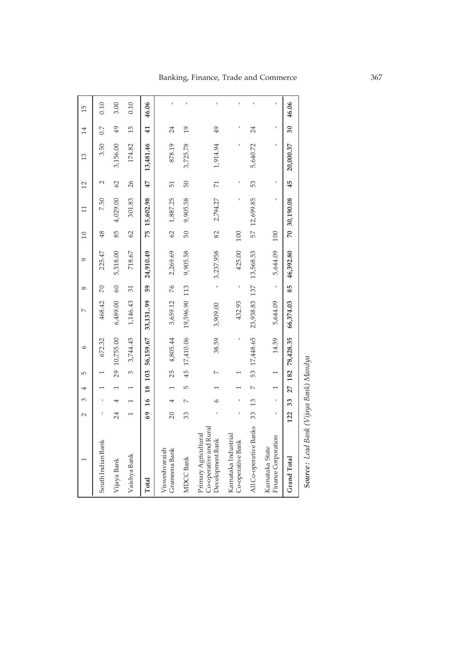|                                                                    | $\sim$ | 3             | 4              | LO <sub>1</sub> | $\circ$          | $\sim$        | ∞           | Ó         | 10  | $\Xi$        | 12             | 13        | 14              | 15    |
|--------------------------------------------------------------------|--------|---------------|----------------|-----------------|------------------|---------------|-------------|-----------|-----|--------------|----------------|-----------|-----------------|-------|
| South Indian Bank                                                  |        |               |                |                 | 672.32           | 468.42        | 70          | 225.47    | 48  | 7.50         | $\mathbf 2$    | 3.50      | 0.7             | 0.10  |
| Vijaya Bank                                                        | 24     |               |                |                 | 29 10,755.00     | 6,489.00      | 60          | 5,518.00  | 85  | 4,029.00     | 62             | 3,156.00  | 49              | 3.00  |
| Vaishya Bank                                                       |        |               |                | 3               | 3,744.45         | 1,146.43      | 31          | 718.67    | 62  | 301.83       | 26             | 174.82    | 15              | 0.10  |
| Total                                                              | 69     | $\frac{6}{1}$ | 18             | 103             | 56,159.67        | 33,13199      | 59          | 24,910.49 | 75  | 15,602.98    | 47             | 13,481.46 | $\overline{41}$ | 46.06 |
| Grameena Bank<br>Visweshvaraiah                                    | 20     |               |                | 25              | 4,805.44         | 3,659.12      | 76          | 2,269.69  | 62  | 1,887.25     | 51             | 878.19    | 24              |       |
| MDCC Bank                                                          | 33     |               | 5              |                 | 45 17,410.06     | 19,596.90 113 |             | 9,905.58  | 50  | 9,905.58     | 50             | 3,725.78  | $\overline{0}$  |       |
| Co-operative and Rural<br>Primary Agricultural<br>Development Bank |        | C             |                |                 | 38.59            | 3,909.00      |             | 3,237.958 | 82  | 2,794.27     | $\overline{7}$ | 1,914.94  | 49              |       |
| Karnataka Industrial<br>Co-operative Bank                          |        |               |                |                 |                  | 432.93        |             | 425.00    | 100 |              |                |           |                 |       |
| All Co-operative Banks                                             | 33     | 13            | $\overline{a}$ |                 | 53 17,448.65     | 23,938.83 137 |             | 13,568.53 |     | 57 12,699.85 | 53             | 5,640.72  | 24              |       |
| Finance Corporation<br>Karnataka State                             |        | ı             |                | $\overline{ }$  | 14.59            | 5,644.09      | $\mathbf I$ | 5,644.09  | 100 |              |                |           |                 |       |
| Grand Total                                                        | 122    | 33            |                |                 | 27 182 78,428.35 | 66,374.03     | 85          | 46,392.80 |     | 70 30,190.08 | 45             | 20,000.37 | 30              | 46.06 |
| $I = I D$ $I$ , $I$                                                |        |               |                |                 |                  |               |             |           |     |              |                |           |                 |       |

**Source:** Lead Bank (Vijaya Bank) Mandya  *Lead Bank (Vijaya Bank) Mandya*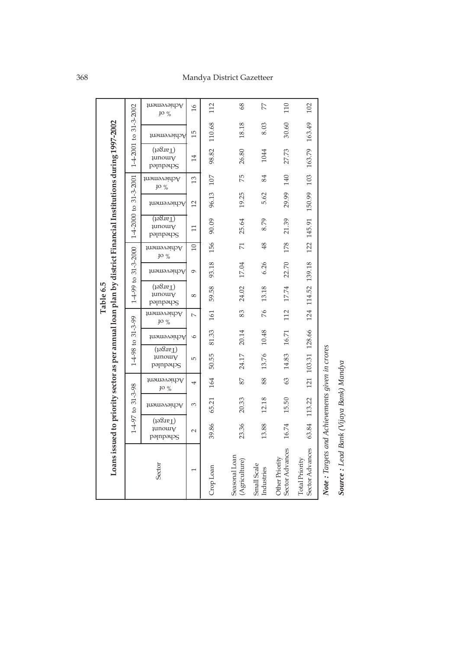| to $31 - 3 - 2000$<br>22.70<br>93.18<br>17.04<br>6.26<br>Achievement<br>Ó                                                                                                                                                                                                                                                               | 163.79<br>27.73<br>140<br>103<br>29.99<br>150.99<br>21.39<br>145.91<br>122<br>178<br>139.18  |
|-----------------------------------------------------------------------------------------------------------------------------------------------------------------------------------------------------------------------------------------------------------------------------------------------------------------------------------------|----------------------------------------------------------------------------------------------|
| 1-4-98 to 31-3-99<br>(198n)<br>13.76<br>14.83<br>50.55<br>24.17<br>µmow<br>5<br>pəmpəqos<br>63<br>87<br>88<br>164<br>Achievement<br>4<br>1-4-97 to 31-3-98<br><b>JO</b> %<br>12.18<br>15.50<br>20.33<br>65.21<br>3<br>Achievement                                                                                                       | 103.31 128.66<br>121<br>113.22                                                               |
| Loans issued to priority sector as per annual loan plan by district Financial Institutions during 1997-2002<br>(Target)<br>23.36<br>39.86<br>13.88<br>16.74<br><b>Jnuom</b> ł<br>$\mathbf{\sim}$<br>pampayog<br>Sector Advances<br>Seasonal Loan<br>Other Priority<br>(Agriculture)<br>Sector<br>Small Scale<br>Crop Loan<br>Industries | Note: Targets and Achievements given in crores<br>63.84<br>Sector Advances<br>Total Priority |

*Source : Lead Bank (Vijaya Bank) Mandya*

Source : Lead Bank (Vijaya Bank) Mandya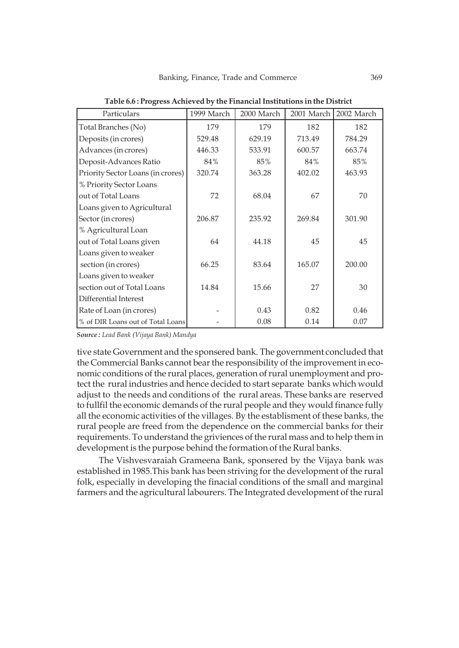| Particulars                       | 1999 March | 2000 March | 2001 March | 2002 March |
|-----------------------------------|------------|------------|------------|------------|
| Total Branches (No)               | 179        | 179        | 182        | 182        |
| Deposits (in crores)              | 529.48     | 629.19     | 713.49     | 784.29     |
| Advances (in crores)              | 446.33     | 533.91     | 600.57     | 663.74     |
| Deposit-Advances Ratio            | 84%        | 85%        | 84%        | 85%        |
| Priority Sector Loans (in crores) | 320.74     | 363.28     | 402.02     | 463.93     |
| % Priority Sector Loans           |            |            |            |            |
| out of Total Loans                | 72         | 68.04      | 67         | 70         |
| Loans given to Agricultural       |            |            |            |            |
| Sector (in crores)                | 206.87     | 235.92     | 269.84     | 301.90     |
| % Agricultural Loan               |            |            |            |            |
| out of Total Loans given          | 64         | 44.18      | 45         | 45         |
| Loans given to weaker             |            |            |            |            |
| section (in crores)               | 66.25      | 83.64      | 165.07     | 200.00     |
| Loans given to weaker             |            |            |            |            |
| section out of Total Loans        | 14.84      | 15.66      | 27         | 30         |
| Differential Interest             |            |            |            |            |
| Rate of Loan (in crores)          |            | 0.43       | 0.82       | 0.46       |
| % of DIR Loans out of Total Loans |            | 0.08       | 0.14       | 0.07       |

**Table 6.6 : Progress Achieved by the Financial Institutions in the District**

*Source : Lead Bank (Vijaya Bank) Mandya*

tive state Government and the sponsered bank. The government concluded that the Commercial Banks cannot bear the responsibility of the improvement in economic conditions of the rural places, generation of rural unemployment and protect the rural industries and hence decided to start separate banks which would adjust to the needs and conditions of the rural areas. These banks are reserved to fullfil the economic demands of the rural people and they would finance fully all the economic activities of the villages. By the establisment of these banks, the rural people are freed from the dependence on the commercial banks for their requirements. To understand the griviences of the rural mass and to help them in development is the purpose behind the formation of the Rural banks.

The Vishvesvaraiah Grameena Bank, sponsered by the Vijaya bank was established in 1985.This bank has been striving for the development of the rural folk, especially in developing the finacial conditions of the small and marginal farmers and the agricultural labourers. The Integrated development of the rural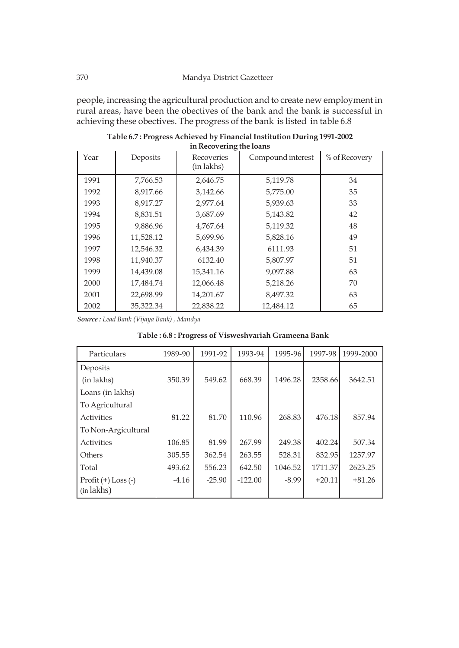people, increasing the agricultural production and to create new employment in rural areas, have been the obectives of the bank and the bank is successful in achieving these obectives. The progress of the bank is listed in table 6.8

| Year | Deposits  | Recoveries<br>(in lakhs) | Compound interest | % of Recovery |
|------|-----------|--------------------------|-------------------|---------------|
| 1991 | 7,766.53  | 2,646.75                 | 5,119.78          | 34            |
| 1992 | 8,917.66  | 3,142.66                 | 5,775.00          | 35            |
| 1993 | 8,917.27  | 2,977.64                 | 5,939.63          | 33            |
| 1994 | 8,831.51  | 3,687.69                 | 5,143.82          | 42            |
| 1995 | 9,886.96  | 4,767.64                 | 5,119.32          | 48            |
| 1996 | 11,528.12 | 5,699.96                 | 5,828.16          | 49            |
| 1997 | 12,546.32 | 6,434.39                 | 6111.93           | 51            |
| 1998 | 11,940.37 | 6132.40                  | 5,807.97          | 51            |
| 1999 | 14,439.08 | 15,341.16                | 9,097.88          | 63            |
| 2000 | 17,484.74 | 12,066.48                | 5,218.26          | 70            |
| 2001 | 22,698.99 | 14,201.67                | 8,497.32          | 63            |
| 2002 | 35,322.34 | 22,838.22                | 12,484.12         | 65            |

**Table 6.7 : Progress Achieved by Financial Institution During 1991-2002 in Recovering the loans**

*Source : Lead Bank (Vijaya Bank) , Mandya*

| Particulars           | 1989-90 | 1991-92  | 1993-94   | 1995-96 | 1997-98  | 1999-2000 |
|-----------------------|---------|----------|-----------|---------|----------|-----------|
| Deposits              |         |          |           |         |          |           |
| (in lakhs)            | 350.39  | 549.62   | 668.39    | 1496.28 | 2358.66  | 3642.51   |
| Loans (in lakhs)      |         |          |           |         |          |           |
| To Agricultural       |         |          |           |         |          |           |
| Activities            | 81.22   | 81.70    | 110.96    | 268.83  | 476.18   | 857.94    |
| To Non-Argicultural   |         |          |           |         |          |           |
| Activities            | 106.85  | 81.99    | 267.99    | 249.38  | 402.24   | 507.34    |
| Others                | 305.55  | 362.54   | 263.55    | 528.31  | 832.95   | 1257.97   |
| Total                 | 493.62  | 556.23   | 642.50    | 1046.52 | 1711.37  | 2623.25   |
| $Profit (+) Loss (-)$ | $-4.16$ | $-25.90$ | $-122.00$ | $-8.99$ | $+20.11$ | $+81.26$  |
| (in lakhs)            |         |          |           |         |          |           |

|  | Table: 6.8: Progress of Visweshvariah Grameena Bank |
|--|-----------------------------------------------------|
|--|-----------------------------------------------------|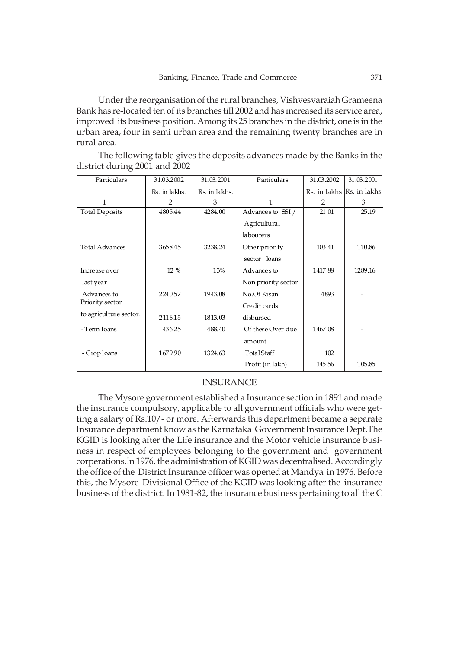Under the reorganisation of the rural branches, Vishvesvaraiah Grameena Bank has re-located ten of its branches till 2002 and has increased its service area, improved its business position. Among its 25 branches in the district, one is in the urban area, four in semi urban area and the remaining twenty branches are in rural area.

The following table gives the deposits advances made by the Banks in the district during 2001 and 2002

| Particulars            | 31.03.2002    | 31.03.2001    | Particulars         | 31.03.2002 | 31.03.2001                |
|------------------------|---------------|---------------|---------------------|------------|---------------------------|
|                        | Rs. in lakhs. | Rs. in lakhs. |                     |            | Rs. in lakhs Rs. in lakhs |
| 1                      | $\mathcal{P}$ | 3             | 1                   | $-2 -$     | 3                         |
| <b>Total Deposits</b>  | 4805.44       | 4284.00       | Advances to SSI/    | 21.01      | 25.19                     |
|                        |               |               | Agricultural        |            |                           |
|                        |               |               | la bourers          |            |                           |
| <b>Total Advances</b>  | 3658.45       | 3238.24       | Other priority      | 103.41     | 110.86                    |
|                        |               |               | sector loans        |            |                           |
| Increase over          | 12 %          | 13%           | Advances to         | 1417.88    | 1289.16                   |
| last year              |               |               | Non priority sector |            |                           |
| Advances to            | 2240.57       | 1943.08       | No.Of Kisan         | 4893       |                           |
| Priority sector        |               |               | Credit cards        |            |                           |
| to agriculture sector. | 2116.15       | 1813.03       | disbursed           |            |                           |
| - Term loans           | 436.25        | 488.40        | Of these Over due   | 1467.08    |                           |
|                        |               |               | amount              |            |                           |
| - Crop loans           | 1679.90       | 1324.63       | TotalStaff          | 102        |                           |
|                        |               |               | Profit (in lakh)    | 145.56     | 105.85                    |

### INSURANCE

The Mysore government established a Insurance section in 1891 and made the insurance compulsory, applicable to all government officials who were getting a salary of Rs.10/- or more. Afterwards this department became a separate Insurance department know as the Karnataka Government Insurance Dept.The KGID is looking after the Life insurance and the Motor vehicle insurance business in respect of employees belonging to the government and government corperations.In 1976, the administration of KGID was decentralised. Accordingly the office of the District Insurance officer was opened at Mandya in 1976. Before this, the Mysore Divisional Office of the KGID was looking after the insurance business of the district. In 1981-82, the insurance business pertaining to all the C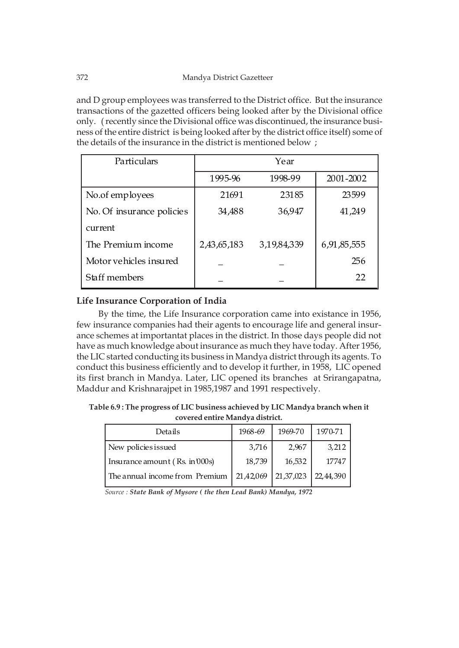and D group employees was transferred to the District office. But the insurance transactions of the gazetted officers being looked after by the Divisional office only. ( recently since the Divisional office was discontinued, the insurance business of the entire district is being looked after by the district office itself) some of the details of the insurance in the district is mentioned below ;

| Particulars               |             |             |             |
|---------------------------|-------------|-------------|-------------|
|                           | 1995-96     | 1998-99     | 2001-2002   |
| No.of employees           | 21691       | 23185       | 23599       |
| No. Of insurance policies | 34,488      | 36,947      | 41,249      |
| current                   |             |             |             |
| The Premium income        | 2,43,65,183 | 3,19,84,339 | 6,91,85,555 |
| Motor vehicles insured    |             |             | 256         |
| Staff members             |             |             | 22          |

# **Life Insurance Corporation of India**

By the time, the Life Insurance corporation came into existance in 1956, few insurance companies had their agents to encourage life and general insurance schemes at importantat places in the district. In those days people did not have as much knowledge about insurance as much they have today. After 1956, the LIC started conducting its business in Mandya district through its agents. To conduct this business efficiently and to develop it further, in 1958, LIC opened its first branch in Mandya. Later, LIC opened its branches at Srirangapatna, Maddur and Krishnarajpet in 1985,1987 and 1991 respectively.

**Table 6.9 : The progress of LIC business achieved by LIC Mandya branch when it covered entire Mandya district.**

| Details                        | 1968-69   | 1969-70   | 1970-71     |
|--------------------------------|-----------|-----------|-------------|
| New policies issued            | 3,716     | 2,967     | 3,212       |
| Insurance amount (Rs. in 000s) | 18,739    | 16,532    | 17747       |
| The annual income from Premium | 21,42,069 | 21,37,023 | 22, 44, 390 |

*Source : State Bank of Mysore ( the then Lead Bank) Mandya, 1972*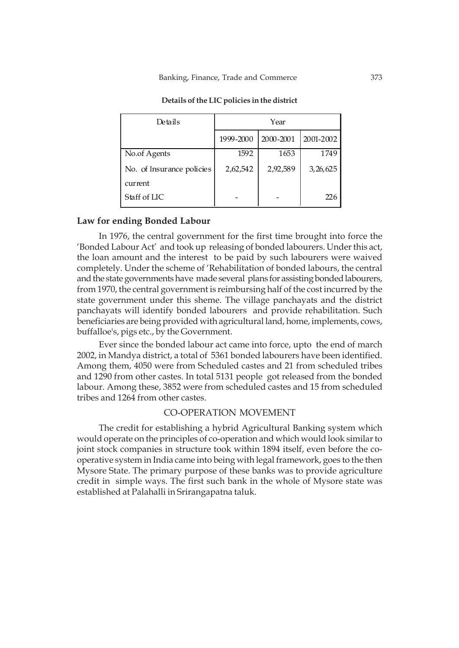| Details                   | Year      |           |            |  |  |  |
|---------------------------|-----------|-----------|------------|--|--|--|
|                           | 1999-2000 | 2000-2001 | 2001-2002  |  |  |  |
| No.of Agents              | 1592      | 1653      | 1749       |  |  |  |
| No. of Insurance policies | 2,62,542  | 2,92,589  | 3, 26, 625 |  |  |  |
| current                   |           |           |            |  |  |  |
| Staff of LIC              |           |           | 226        |  |  |  |

**Details of the LIC policies in the district**

### **Law for ending Bonded Labour**

In 1976, the central government for the first time brought into force the 'Bonded Labour Act' and took up releasing of bonded labourers. Under this act, the loan amount and the interest to be paid by such labourers were waived completely. Under the scheme of 'Rehabilitation of bonded labours, the central and the state governments have made several plans for assisting bonded labourers, from 1970, the central government is reimbursing half of the cost incurred by the state government under this sheme. The village panchayats and the district panchayats will identify bonded labourers and provide rehabilitation. Such beneficiaries are being provided with agricultural land, home, implements, cows, buffalloe's, pigs etc., by the Government.

Ever since the bonded labour act came into force, upto the end of march 2002, in Mandya district, a total of 5361 bonded labourers have been identified. Among them, 4050 were from Scheduled castes and 21 from scheduled tribes and 1290 from other castes. In total 5131 people got released from the bonded labour. Among these, 3852 were from scheduled castes and 15 from scheduled tribes and 1264 from other castes.

### CO-OPERATION MOVEMENT

The credit for establishing a hybrid Agricultural Banking system which would operate on the principles of co-operation and which would look similar to joint stock companies in structure took within 1894 itself, even before the cooperative system in India came into being with legal framework, goes to the then Mysore State. The primary purpose of these banks was to provide agriculture credit in simple ways. The first such bank in the whole of Mysore state was established at Palahalli in Srirangapatna taluk.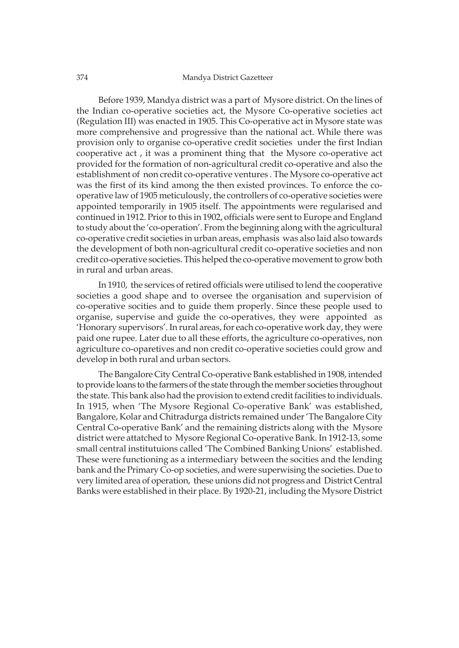#### 374 Mandya District Gazetteer

Before 1939, Mandya district was a part of Mysore district. On the lines of the Indian co-operative societies act, the Mysore Co-operative societies act (Regulation III) was enacted in 1905. This Co-operative act in Mysore state was more comprehensive and progressive than the national act. While there was provision only to organise co-operative credit societies under the first Indian cooperative act , it was a prominent thing that the Mysore co-operative act provided for the formation of non-agricultural credit co-operative and also the establishment of non credit co-operative ventures . The Mysore co-operative act was the first of its kind among the then existed provinces. To enforce the cooperative law of 1905 meticulously, the controllers of co-operative societies were appointed temporarily in 1905 itself. The appointments were regularised and continued in 1912. Prior to this in 1902, officials were sent to Europe and England to study about the 'co-operation'. From the beginning along with the agricultural co-operative credit societies in urban areas, emphasis was also laid also towards the development of both non-agricultural credit co-operative societies and non credit co-operative societies. This helped the co-operative movement to grow both in rural and urban areas.

In 1910, the services of retired officials were utilised to lend the cooperative societies a good shape and to oversee the organisation and supervision of co-operative socities and to guide them properly. Since these people used to organise, supervise and guide the co-operatives, they were appointed as 'Honorary supervisors'. In rural areas, for each co-operative work day, they were paid one rupee. Later due to all these efforts, the agriculture co-operatives, non agriculture co-oparetives and non credit co-operative societies could grow and develop in both rural and urban sectors.

The Bangalore City Central Co-operative Bank established in 1908, intended to provide loans to the farmers of the state through the member societies throughout the state. This bank also had the provision to extend credit facilities to individuals. In 1915, when 'The Mysore Regional Co-operative Bank' was established, Bangalore, Kolar and Chitradurga districts remained under 'The Bangalore City Central Co-operative Bank' and the remaining districts along with the Mysore district were attatched to Mysore Regional Co-operative Bank. In 1912-13, some small central institutuions called 'The Combined Banking Unions' established. These were functioning as a intermediary between the socities and the lending bank and the Primary Co-op societies, and were superwising the societies. Due to very limited area of operation, these unions did not progress and District Central Banks were established in their place. By 1920-21, including the Mysore District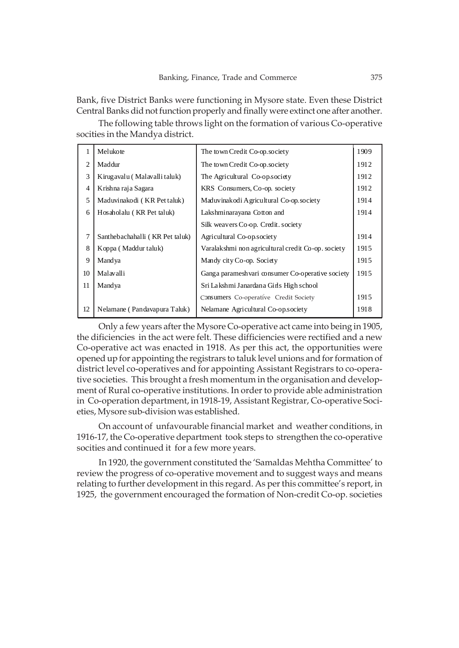Bank, five District Banks were functioning in Mysore state. Even these District Central Banks did not function properly and finally were extinct one after another.

The following table throws light on the formation of various Co-operative socities in the Mandya district.

| 1              | Melukote                        | The town Credit Co-op.society                      | 1909 |
|----------------|---------------------------------|----------------------------------------------------|------|
| $\overline{2}$ | Maddur                          | The town Credit Co-op, society                     | 1912 |
| 3              | Kirugavalu (Malavalli taluk)    | The Agricultural Co-op.society                     | 1912 |
| $\overline{4}$ | Krishna raja Sagara             | KRS Consumers, Co-op. society                      | 1912 |
| 5              | Maduvinakodi (KR Pet taluk)     | Maduvinakodi Agricultural Co-op.society            | 1914 |
| 6              | Hosaholalu (KR Pet taluk)       | Lakshminarayana Cotton and                         | 1914 |
|                |                                 | Silk weavers Co-op. Credit. society                |      |
| 7              | Santhebachahalli (KR Pet taluk) | Agricultural Co-op.society                         | 1914 |
| 8              | Koppa (Maddur taluk)            | Varalakshmi non agricultural credit Co-op. society | 1915 |
| 9              | Mandya                          | Mandy city Co-op. Society                          | 1915 |
| 10             | Malavalli                       | Ganga paramesh vari consumer Co-operative society  | 1915 |
| 11             | Mandya                          | Sri Lakshmi Janardana Girls High school            |      |
|                |                                 | Consumers Co-operative Credit Society              | 1915 |
| 12             | Nelamane (Pandavapura Taluk)    | Nelamane Agricultural Co-op.society                | 1918 |

Only a few years after the Mysore Co-operative act came into being in 1905, the dificiencies in the act were felt. These difficiencies were rectified and a new Co-operative act was enacted in 1918. As per this act, the opportunities were opened up for appointing the registrars to taluk level unions and for formation of district level co-operatives and for appointing Assistant Registrars to co-operative societies. This brought a fresh momentum in the organisation and development of Rural co-operative institutions. In order to provide able administration in Co-operation department, in 1918-19, Assistant Registrar, Co-operative Societies, Mysore sub-division was established.

On account of unfavourable financial market and weather conditions, in 1916-17, the Co-operative department took steps to strengthen the co-operative socities and continued it for a few more years.

In 1920, the government constituted the 'Samaldas Mehtha Committee' to review the progress of co-operative movement and to suggest ways and means relating to further development in this regard. As per this committee's report, in 1925, the government encouraged the formation of Non-credit Co-op. societies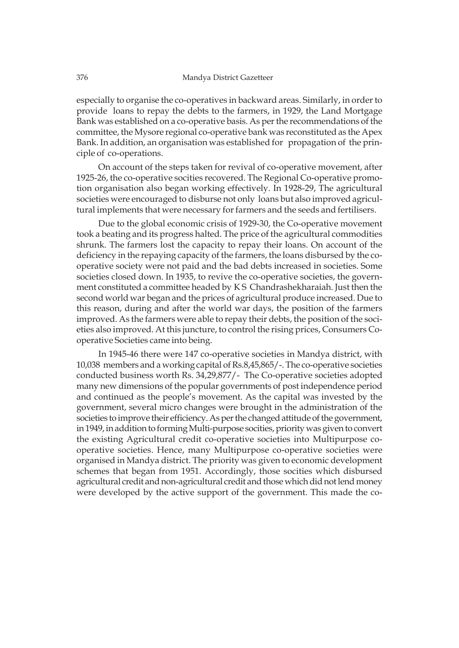especially to organise the co-operatives in backward areas. Similarly, in order to provide loans to repay the debts to the farmers, in 1929, the Land Mortgage Bank was established on a co-operative basis. As per the recommendations of the committee, the Mysore regional co-operative bank was reconstituted as the Apex Bank. In addition, an organisation was established for propagation of the principle of co-operations.

On account of the steps taken for revival of co-operative movement, after 1925-26, the co-operative socities recovered. The Regional Co-operative promotion organisation also began working effectively. In 1928-29, The agricultural societies were encouraged to disburse not only loans but also improved agricultural implements that were necessary for farmers and the seeds and fertilisers.

Due to the global economic crisis of 1929-30, the Co-operative movement took a beating and its progress halted. The price of the agricultural commodities shrunk. The farmers lost the capacity to repay their loans. On account of the deficiency in the repaying capacity of the farmers, the loans disbursed by the cooperative society were not paid and the bad debts increased in societies. Some societies closed down. In 1935, to revive the co-operative societies, the government constituted a committee headed by K S Chandrashekharaiah. Just then the second world war began and the prices of agricultural produce increased. Due to this reason, during and after the world war days, the position of the farmers improved. As the farmers were able to repay their debts, the position of the societies also improved. At this juncture, to control the rising prices, Consumers Cooperative Societies came into being.

In 1945-46 there were 147 co-operative societies in Mandya district, with 10,038 members and a working capital of Rs.8,45,865/-. The co-operative societies conducted business worth Rs. 34,29,877/- The Co-operative societies adopted many new dimensions of the popular governments of post independence period and continued as the people's movement. As the capital was invested by the government, several micro changes were brought in the administration of the societies to improve their efficiency. As per the changed attitude of the government, in 1949, in addition to forming Multi-purpose socities, priority was given to convert the existing Agricultural credit co-operative societies into Multipurpose cooperative societies. Hence, many Multipurpose co-operative societies were organised in Mandya district. The priority was given to economic development schemes that began from 1951. Accordingly, those socities which disbursed agricultural credit and non-agricultural credit and those which did not lend money were developed by the active support of the government. This made the co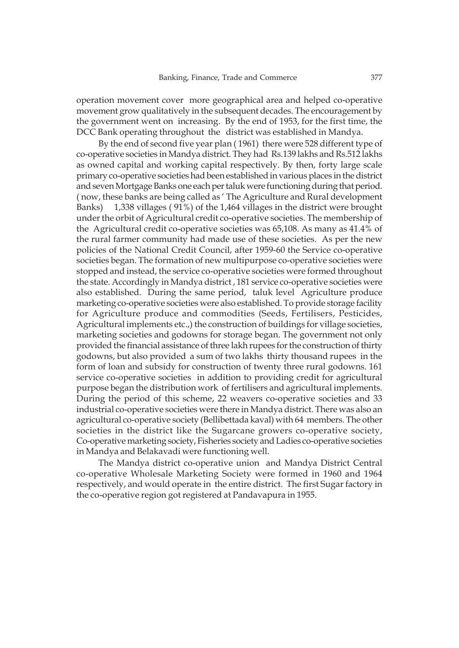operation movement cover more geographical area and helped co-operative movement grow qualitatively in the subsequent decades. The encouragement by the government went on increasing. By the end of 1953, for the first time, the DCC Bank operating throughout the district was established in Mandya.

By the end of second five year plan ( 1961) there were 528 different type of co-operative societies in Mandya district. They had Rs.139 lakhs and Rs.512 lakhs as owned capital and working capital respectively. By then, forty large scale primary co-operative societies had been established in various places in the district and seven Mortgage Banks one each per taluk were functioning during that period. ( now, these banks are being called as ' The Agriculture and Rural development Banks) 1,338 villages ( 91%) of the 1,464 villages in the district were brought under the orbit of Agricultural credit co-operative societies. The membership of the Agricultural credit co-operative societies was 65,108. As many as 41.4% of the rural farmer community had made use of these societies. As per the new policies of the National Credit Council, after 1959-60 the Service co-operative societies began. The formation of new multipurpose co-operative societies were stopped and instead, the service co-operative societies were formed throughout the state. Accordingly in Mandya district , 181 service co-operative societies were also established. During the same period, taluk level Agriculture produce marketing co-operative societies were also established. To provide storage facility for Agriculture produce and commodities (Seeds, Fertilisers, Pesticides, Agricultural implements etc.,) the construction of buildings for village societies, marketing societies and godowns for storage began. The government not only provided the financial assistance of three lakh rupees for the construction of thirty godowns, but also provided a sum of two lakhs thirty thousand rupees in the form of loan and subsidy for construction of twenty three rural godowns. 161 service co-operative societies in addition to providing credit for agricultural purpose began the distribution work of fertilisers and agricultural implements. During the period of this scheme, 22 weavers co-operative societies and 33 industrial co-operative societies were there in Mandya district. There was also an agricultural co-operative society (Bellibettada kaval) with 64 members. The other societies in the district like the Sugarcane growers co-operative society, Co-operative marketing society, Fisheries society and Ladies co-operative societies in Mandya and Belakavadi were functioning well.

The Mandya district co-operative union and Mandya District Central co-operative Wholesale Marketing Society were formed in 1960 and 1964 respectively, and would operate in the entire district. The first Sugar factory in the co-operative region got registered at Pandavapura in 1955.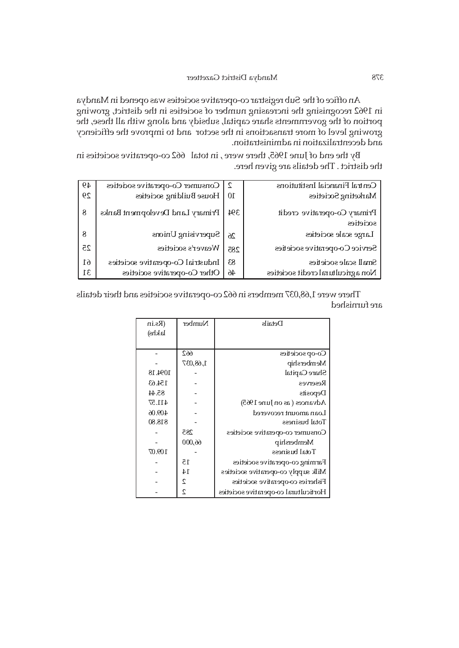An office of the Sub registrar co-operative societies was opened in Mandya in 1962 recognising the increasing number of societies in the district, growing portion of the governments share capital, subsidy and along with all these, the growing level of more transactions in the sector and to improve the efficiency and decentralization in administration.

By the end of June 1965, there were, in total 662 co-operative societies in the district . The details are given here.

| 49 | Consumer Co-operative societies   | $\mathcal{L}$   | Central Financial Institutions           |
|----|-----------------------------------|-----------------|------------------------------------------|
| 29 | House Building societies          | 10 <sup>1</sup> | Marketing Societies                      |
| 8  | Primary Land Development Banks    | 394             | Primary Co-operative credit<br>societies |
| 8  | Supervising Unions                | 26              | Large scale societies                    |
| 25 | Weaver's societies                | 285             | Service Co-operative societies           |
| 61 | Industrial Co-operative societies | 83              | Small scale societies                    |
| 31 | Other Co-operative societies      | $46\,$          | Non a gricultural credit societies       |

There were 1,68,037 members in 662 co-operative societies and their details are furnished

| (Rs.in<br>lakhs) | Number   | Details                              |
|------------------|----------|--------------------------------------|
|                  | 662      | Co-op societies                      |
|                  | 1,68,037 | Membership                           |
| 1094.18          |          | Share Capital                        |
| 154.63           |          | Reserves                             |
| 85.44            |          | Deposits                             |
| 411.57           |          | Advances (as on June $1965$ )        |
| 409.06           |          | Loan amount recovered                |
| 818.80           |          | Total business                       |
|                  | 285      | Consumer co-operative societies      |
|                  | 66,000   | Membership                           |
| 109.07           |          | Total business                       |
|                  | 15       | Farming co-operative societies       |
|                  | 14       | Milk supply co-operative societies   |
|                  | 2        | Fisheries co-operative societies     |
|                  | 2        | Horticultural co-operative societies |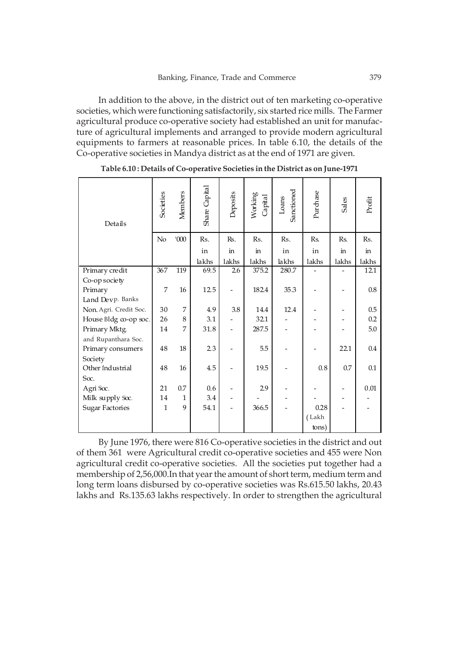In addition to the above, in the district out of ten marketing co-operative societies, which were functioning satisfactorily, six started rice mills. The Farmer agricultural produce co-operative society had established an unit for manufacture of agricultural implements and arranged to provide modern agricultural equipments to farmers at reasonable prices. In table 6.10, the details of the Co-operative societies in Mandya district as at the end of 1971 are given.

| Details                | Societies    | Members      | Share Capital | Deposits | Working<br>Capital | Sanctioned<br>Loans | Purchase | Sales | Profit |
|------------------------|--------------|--------------|---------------|----------|--------------------|---------------------|----------|-------|--------|
|                        | No           | '000         | Rs.           | Rs.      | Rs.                | Rs.                 | Rs.      | Rs.   | Rs.    |
|                        |              |              | in            | in       | in                 | in                  | in       | in    | in.    |
|                        |              |              | lakhs         | lakhs    | lakhs              | lakhs               | lakhs    | lakhs | lakhs  |
| Primary credit         | 367          | 119          | 69.5          | 2.6      | 375.2              | 280.7               |          |       | 12.1   |
| Co-op society          |              |              |               |          |                    |                     |          |       |        |
| Primary                | 7            | 16           | 12.5          |          | 182.4              | 35.3                |          |       | 0.8    |
| Land Devp. Banks       |              |              |               |          |                    |                     |          |       |        |
| Non. Agri. Credit Soc. | 30           | 7            | 4.9           | 3.8      | 14.4               | 12.4                |          |       | 0.5    |
| House Bldg co-op soc.  | 26           | 8            | 3.1           |          | 32.1               |                     |          |       | 0.2    |
| Primary Mktg.          | 14           | 7            | 31.8          |          | 287.5              |                     |          |       | 5.0    |
| and Rupanthara Soc.    |              |              |               |          |                    |                     |          |       |        |
| Primary consumers      | 48           | 18           | 2.3           |          | 5.5                |                     |          | 22.1  | 0.4    |
| Society                |              |              |               |          |                    |                     |          |       |        |
| Other Industrial       | 48           | 16           | 4.5           |          | 19.5               |                     | 0.8      | 0.7   | 0.1    |
| Soc.                   |              |              |               |          |                    |                     |          |       |        |
| Agri Soc.              | 21           | 0.7          | 0.6           |          | 2.9                |                     |          |       | 0.01   |
| Milk supply Soc.       | 14           | $\mathbf{1}$ | 3.4           |          |                    |                     |          |       |        |
| <b>Sugar Factories</b> | $\mathbf{1}$ | 9            | 54.1          |          | 366.5              |                     | 0.28     |       |        |
|                        |              |              |               |          |                    |                     | (Lakh    |       |        |
|                        |              |              |               |          |                    |                     | tons)    |       |        |

**Table 6.10 : Details of Co-operative Societies in the District as on June-1971**

By June 1976, there were 816 Co-operative societies in the district and out of them 361 were Agricultural credit co-operative societies and 455 were Non agricultural credit co-operative societies. All the societies put together had a membership of 2,56,000.In that year the amount of short term, medium term and long term loans disbursed by co-operative societies was Rs.615.50 lakhs, 20.43 lakhs and Rs.135.63 lakhs respectively. In order to strengthen the agricultural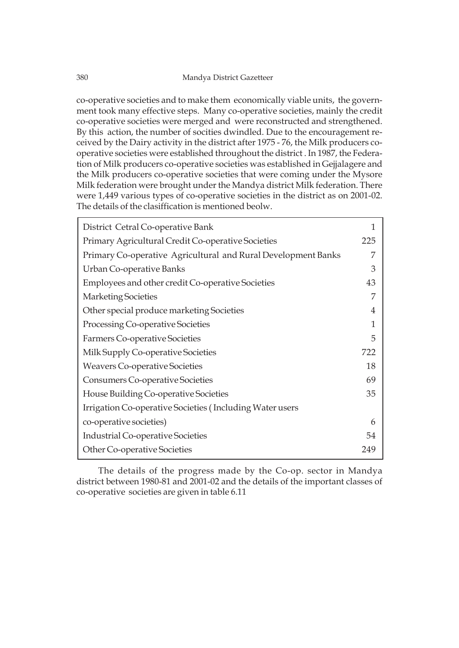#### 380 Mandya District Gazetteer

co-operative societies and to make them economically viable units, the government took many effective steps. Many co-operative societies, mainly the credit co-operative societies were merged and were reconstructed and strengthened. By this action, the number of socities dwindled. Due to the encouragement received by the Dairy activity in the district after 1975 - 76, the Milk producers cooperative societies were established throughout the district . In 1987, the Federation of Milk producers co-operative societies was established in Gejjalagere and the Milk producers co-operative societies that were coming under the Mysore Milk federation were brought under the Mandya district Milk federation. There were 1,449 various types of co-operative societies in the district as on 2001-02. The details of the clasiffication is mentioned beolw.

| District Cetral Co-operative Bank                             | 1   |
|---------------------------------------------------------------|-----|
| Primary Agricultural Credit Co-operative Societies            | 225 |
| Primary Co-operative Agricultural and Rural Development Banks | 7   |
| Urban Co-operative Banks                                      | 3   |
| Employees and other credit Co-operative Societies             | 43  |
| <b>Marketing Societies</b>                                    | 7   |
| Other special produce marketing Societies                     | 4   |
| Processing Co-operative Societies                             | 1   |
| Farmers Co-operative Societies                                | 5   |
| Milk Supply Co-operative Societies                            | 722 |
| <b>Weavers Co-operative Societies</b>                         | 18  |
| Consumers Co-operative Societies                              | 69  |
| House Building Co-operative Societies                         | 35  |
| Irrigation Co-operative Societies (Including Water users      |     |
| co-operative societies)                                       | 6   |
| Industrial Co-operative Societies                             | 54  |
| Other Co-operative Societies                                  | 249 |

The details of the progress made by the Co-op. sector in Mandya district between 1980-81 and 2001-02 and the details of the important classes of co-operative societies are given in table 6.11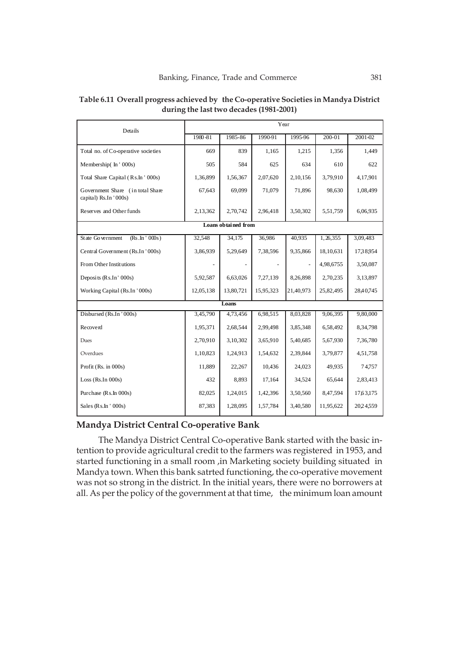| Details                                                   | Year      |           |           |           |            |           |  |  |  |
|-----------------------------------------------------------|-----------|-----------|-----------|-----------|------------|-----------|--|--|--|
|                                                           | 1980-81   | 1985-86   | 1990-91   | 1995-96   | 200-01     | 2001-02   |  |  |  |
| Total no. of Co-operative societies                       | 669       | 839       | 1,165     | 1,215     | 1,356      | 1,449     |  |  |  |
| Membership(In '000s)                                      | 505       | 584       | 625       | 634       | 610        | 622       |  |  |  |
| Total Share Capital (Rs.In ' 000s)                        | 1,36,899  | 1,56,367  | 2,07,620  | 2,10,156  | 3,79,910   | 4,17,901  |  |  |  |
| Government Share (in total Share<br>capital) Rs.In '000s) | 67,643    | 69.099    | 71,079    | 71,896    | 98,630     | 1,08,499  |  |  |  |
| Reserves and Other funds                                  | 2,13,362  | 2,70,742  | 2,96,418  | 3,50,302  | 5,51,759   | 6,06,935  |  |  |  |
| Loans obtained from                                       |           |           |           |           |            |           |  |  |  |
| State Government<br>$(Rs.\ln' 000s)$                      | 32,548    | 34,175    | 36,986    | 40,935    | 1, 26, 355 | 3,09,483  |  |  |  |
| Central Government (Rs.In '000s)                          | 3,86,939  | 5,29,649  | 7,38,596  | 9,35,866  | 18,10,631  | 1738954   |  |  |  |
| From Other Institutions                                   |           |           |           |           | 4,98,6755  | 3,50,087  |  |  |  |
| Deposits (Rs.In' 000s)                                    | 5,92,587  | 6,63,026  | 7,27,139  | 8,26,898  | 2,70,235   | 3,13,897  |  |  |  |
| Working Capital (Rs.In '000s)                             | 12,05,138 | 13,80,721 | 15,95,323 | 21,40,973 | 25,82,495  | 28,40,745 |  |  |  |
|                                                           |           | Loans     |           |           |            |           |  |  |  |
| Disbursed (Rs.In '000s)                                   | 3,45,790  | 4,73,456  | 6,98,515  | 8,03,828  | 9,06,395   | 9,80,000  |  |  |  |
| Recoverd                                                  | 1,95,371  | 2,68,544  | 2.99.498  | 3,85,348  | 6,58,492   | 8,34,798  |  |  |  |
| Dues                                                      | 2,70,910  | 3,10,302  | 3,65,910  | 5,40,685  | 5,67,930   | 7,36,780  |  |  |  |
| Overdues                                                  | 1,10,823  | 1,24,913  | 1,54,632  | 2,39,844  | 3,79,877   | 4,51,758  |  |  |  |
| Profit (Rs. in 000s)                                      | 11,889    | 22,267    | 10,436    | 24,023    | 49,935     | 74,757    |  |  |  |
| Loss ( $Rs.In$ 000s)                                      | 432       | 8,893     | 17,164    | 34,524    | 65,644     | 2,83,413  |  |  |  |
| Purchase (Rs.In 000s)                                     | 82,025    | 1,24,015  | 1,42,396  | 3,50,560  | 8,47,594   | 17,63,175 |  |  |  |
| Sales $(Rs,In'000s)$                                      | 87,383    | 1,28,095  | 1,57,784  | 3,40,580  | 11,95,622  | 2024559   |  |  |  |

### **Table 6.11 Overall progress achieved by the Co-operative Societies in Mandya District during the last two decades (1981-2001)**

# **Mandya District Central Co-operative Bank**

The Mandya District Central Co-operative Bank started with the basic intention to provide agricultural credit to the farmers was registered in 1953, and started functioning in a small room ,in Marketing society building situated in Mandya town. When this bank satrted functioning, the co-operative movement was not so strong in the district. In the initial years, there were no borrowers at all. As per the policy of the government at that time, the minimum loan amount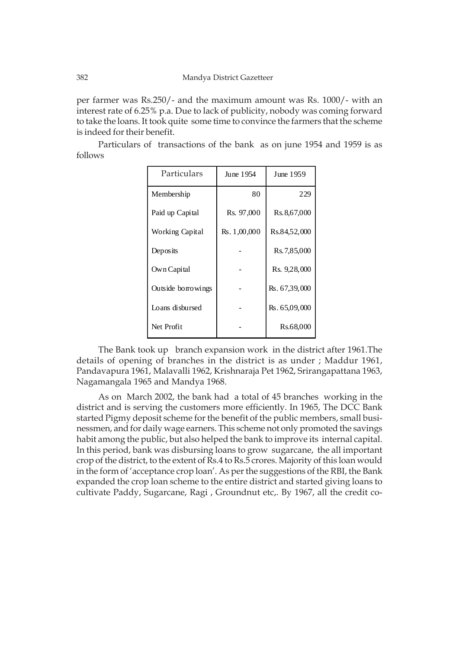per farmer was Rs.250/- and the maximum amount was Rs. 1000/- with an interest rate of 6.25% p.a. Due to lack of publicity, nobody was coming forward to take the loans. It took quite some time to convince the farmers that the scheme is indeed for their benefit.

Particulars of transactions of the bank as on june 1954 and 1959 is as follows

| Particulars            | June 1954    | June 1959      |
|------------------------|--------------|----------------|
| Membership             | 80           | 229            |
| Paid up Capital        | Rs. 97,000   | Rs. 8, 67, 000 |
| <b>Working Capital</b> | Rs. 1,00,000 | Rs.84,52,000   |
| Deposits               |              | Rs. 7,85,000   |
| Own Capital            |              | Rs. 9,28,000   |
| Outside borrowings     |              | Rs. 67,39,000  |
| Loans disbursed        |              | Rs. 65,09,000  |
| Net Profit             |              | Rs.68,000      |

The Bank took up branch expansion work in the district after 1961.The details of opening of branches in the district is as under ; Maddur 1961, Pandavapura 1961, Malavalli 1962, Krishnaraja Pet 1962, Srirangapattana 1963, Nagamangala 1965 and Mandya 1968.

As on March 2002, the bank had a total of 45 branches working in the district and is serving the customers more efficiently. In 1965, The DCC Bank started Pigmy deposit scheme for the benefit of the public members, small businessmen, and for daily wage earners. This scheme not only promoted the savings habit among the public, but also helped the bank to improve its internal capital. In this period, bank was disbursing loans to grow sugarcane, the all important crop of the district, to the extent of Rs.4 to Rs.5 crores. Majority of this loan would in the form of 'acceptance crop loan'. As per the suggestions of the RBI, the Bank expanded the crop loan scheme to the entire district and started giving loans to cultivate Paddy, Sugarcane, Ragi , Groundnut etc,. By 1967, all the credit co-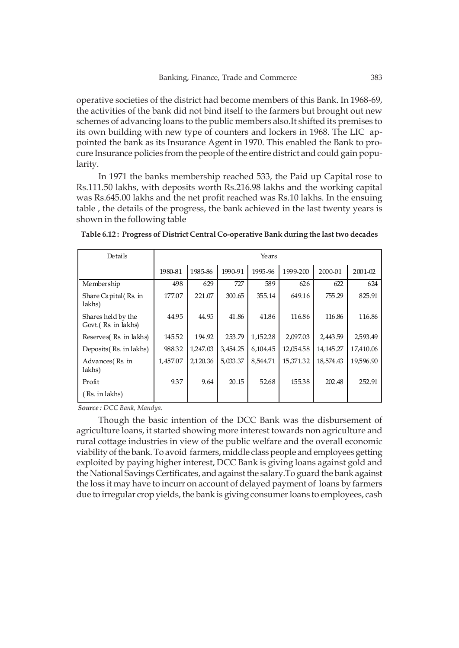operative societies of the district had become members of this Bank. In 1968-69, the activities of the bank did not bind itself to the farmers but brought out new schemes of advancing loans to the public members also.It shifted its premises to its own building with new type of counters and lockers in 1968. The LIC appointed the bank as its Insurance Agent in 1970. This enabled the Bank to procure Insurance policies from the people of the entire district and could gain popularity.

In 1971 the banks membership reached 533, the Paid up Capital rose to Rs.111.50 lakhs, with deposits worth Rs.216.98 lakhs and the working capital was Rs.645.00 lakhs and the net profit reached was Rs.10 lakhs. In the ensuing table , the details of the progress, the bank achieved in the last twenty years is shown in the following table

| Details                                   | Years    |          |          |          |           |            |           |  |
|-------------------------------------------|----------|----------|----------|----------|-----------|------------|-----------|--|
|                                           | 1980-81  | 1985-86  | 1990-91  | 1995-96  | 1999-200  | 2000-01    | 2001-02   |  |
| Membership                                | 498      | 629      | 727      | 589      | 626       | 622        | 624       |  |
| Share Capital (Rs. in<br>lakhs)           | 177.07   | 221.07   | 300.65   | 355.14   | 649.16    | 755.29     | 825.91    |  |
| Shares held by the<br>Govt.(Rs. in lakhs) | 44.95    | 44.95    | 41.86    | 41.86    | 116.86    | 116.86     | 116.86    |  |
| Reserves (Rs. in lakhs)                   | 145.52   | 194.92   | 253.79   | 1,152.28 | 2.097.03  | 2,443.59   | 2,593.49  |  |
| Deposits (Rs. in lakhs)                   | 988.32   | 1,247.03 | 3.454.25 | 6.104.45 | 12,054.58 | 14, 145.27 | 17.410.06 |  |
| Advances (Rs. in<br>lakhs)                | 1,457.07 | 2,120.36 | 5,033.37 | 8,544.71 | 15.371.32 | 18,574.43  | 19,596.90 |  |
| Profit                                    | 9.37     | 9.64     | 20.15    | 52.68    | 155.38    | 202.48     | 252.91    |  |
| ' Rs. in lakhs)                           |          |          |          |          |           |            |           |  |

| Table 6.12: Progress of District Central Co-operative Bank during the last two decades |  |
|----------------------------------------------------------------------------------------|--|
|                                                                                        |  |

 *Source : DCC Bank, Mandya.*

Though the basic intention of the DCC Bank was the disbursement of agriculture loans, it started showing more interest towards non agriculture and rural cottage industries in view of the public welfare and the overall economic viability of the bank. To avoid farmers, middle class people and employees getting exploited by paying higher interest, DCC Bank is giving loans against gold and the National Savings Certificates, and against the salary.To guard the bank against the loss it may have to incurr on account of delayed payment of loans by farmers due to irregular crop yields, the bank is giving consumer loans to employees, cash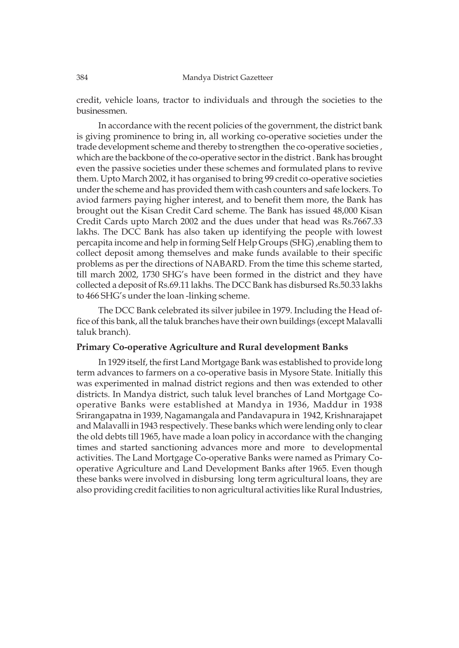credit, vehicle loans, tractor to individuals and through the societies to the businessmen.

In accordance with the recent policies of the government, the district bank is giving prominence to bring in, all working co-operative societies under the trade development scheme and thereby to strengthen the co-operative societies , which are the backbone of the co-operative sector in the district . Bank has brought even the passive societies under these schemes and formulated plans to revive them. Upto March 2002, it has organised to bring 99 credit co-operative societies under the scheme and has provided them with cash counters and safe lockers. To aviod farmers paying higher interest, and to benefit them more, the Bank has brought out the Kisan Credit Card scheme. The Bank has issued 48,000 Kisan Credit Cards upto March 2002 and the dues under that head was Rs.7667.33 lakhs. The DCC Bank has also taken up identifying the people with lowest percapita income and help in forming Self Help Groups (SHG) ,enabling them to collect deposit among themselves and make funds available to their specific problems as per the directions of NABARD. From the time this scheme started, till march 2002, 1730 SHG's have been formed in the district and they have collected a deposit of Rs.69.11 lakhs. The DCC Bank has disbursed Rs.50.33 lakhs to 466 SHG's under the loan -linking scheme.

The DCC Bank celebrated its silver jubilee in 1979. Including the Head office of this bank, all the taluk branches have their own buildings (except Malavalli taluk branch).

#### **Primary Co-operative Agriculture and Rural development Banks**

In 1929 itself, the first Land Mortgage Bank was established to provide long term advances to farmers on a co-operative basis in Mysore State. Initially this was experimented in malnad district regions and then was extended to other districts. In Mandya district, such taluk level branches of Land Mortgage Cooperative Banks were established at Mandya in 1936, Maddur in 1938 Srirangapatna in 1939, Nagamangala and Pandavapura in 1942, Krishnarajapet and Malavalli in 1943 respectively. These banks which were lending only to clear the old debts till 1965, have made a loan policy in accordance with the changing times and started sanctioning advances more and more to developmental activities. The Land Mortgage Co-operative Banks were named as Primary Cooperative Agriculture and Land Development Banks after 1965. Even though these banks were involved in disbursing long term agricultural loans, they are also providing credit facilities to non agricultural activities like Rural Industries,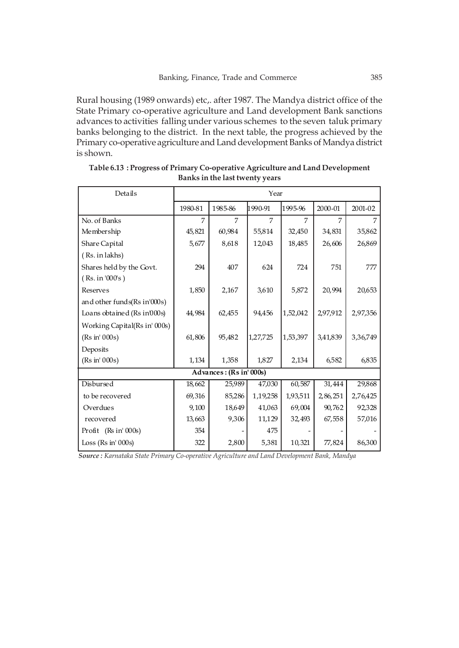Rural housing (1989 onwards) etc,. after 1987. The Mandya district office of the State Primary co-operative agriculture and Land development Bank sanctions advances to activities falling under various schemes to the seven taluk primary banks belonging to the district. In the next table, the progress achieved by the Primary co-operative agriculture and Land development Banks of Mandya district is shown.

| Details                       | Year    |                         |          |          |          |          |  |
|-------------------------------|---------|-------------------------|----------|----------|----------|----------|--|
|                               | 1980-81 | 1985-86                 | 1990-91  | 1995-96  | 2000-01  | 2001-02  |  |
| No. of Banks                  | 7       | 7                       | 7        | 7        | 7        |          |  |
| Membership                    | 45,821  | 60,984                  | 55,814   | 32,450   | 34,831   | 35,862   |  |
| Share Capital                 | 5,677   | 8,618                   | 12,043   | 18,485   | 26,606   | 26,869   |  |
| (Rs. in lakhs)                |         |                         |          |          |          |          |  |
| Shares held by the Govt.      | 294     | 407                     | 624      | 724      | 751      | 777      |  |
| (Rs. in '000's)               |         |                         |          |          |          |          |  |
| Reserves                      | 1,850   | 2,167                   | 3,610    | 5,872    | 20,994   | 20,653   |  |
| and other funds (Rs in 000s)  |         |                         |          |          |          |          |  |
| Loans obtained (Rs in 000s)   | 44,984  | 62,455                  | 94,456   | 1,52,042 | 2,97,912 | 2,97,356 |  |
| Working Capital(Rs in' 000s)  |         |                         |          |          |          |          |  |
| (Rs in' 000s)                 | 61,806  | 95,482                  | 1,27,725 | 1,53,397 | 3,41,839 | 3,36,749 |  |
| Deposits                      |         |                         |          |          |          |          |  |
| (Rs in' 000s)                 | 1,134   | 1,358                   | 1,827    | 2,134    | 6,582    | 6,835    |  |
|                               |         | Advances: (Rs in' 000s) |          |          |          |          |  |
| Disbursed                     | 18,662  | 25,989                  | 47,030   | 60,587   | 31,444   | 29,868   |  |
| to be recovered               | 69,316  | 85,286                  | 1,19,258 | 1,93,511 | 2,86,251 | 2,76,425 |  |
| Overdues                      | 9,100   | 18,649                  | 41,063   | 69,004   | 90,762   | 92,328   |  |
| recovered                     | 13,663  | 9,306                   | 11,129   | 32,493   | 67,558   | 57,016   |  |
| Profit (Rs in' 000s)          | 354     |                         | 475      |          |          |          |  |
| Loss ( $\text{Rs in}$ ' 000s) | 322     | 2,800                   | 5,381    | 10,321   | 77,824   | 86,300   |  |

| Table 6.13 : Progress of Primary Co-operative Agriculture and Land Development |
|--------------------------------------------------------------------------------|
| Banks in the last twenty years                                                 |

*Source : Karnataka State Primary Co-operative Agriculture and Land Development Bank, Mandya*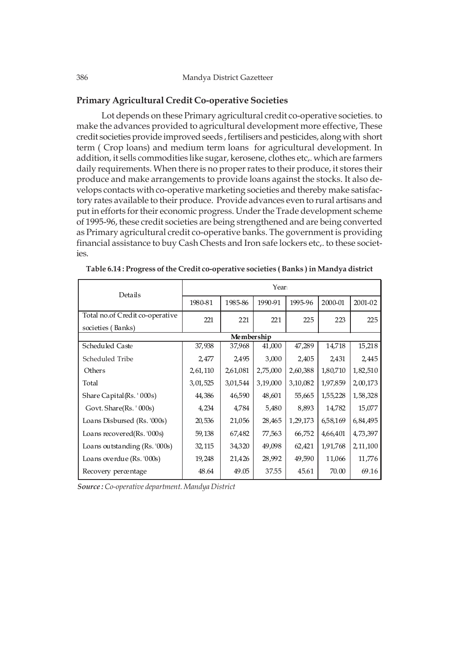### **Primary Agricultural Credit Co-operative Societies**

 Lot depends on these Primary agricultural credit co-operative societies. to make the advances provided to agricultural development more effective, These credit societies provide improved seeds , fertilisers and pesticides, along with short term ( Crop loans) and medium term loans for agricultural development. In addition, it sells commodities like sugar, kerosene, clothes etc,. which are farmers daily requirements. When there is no proper rates to their produce, it stores their produce and make arrangements to provide loans against the stocks. It also develops contacts with co-operative marketing societies and thereby make satisfactory rates available to their produce. Provide advances even to rural artisans and put in efforts for their economic progress. Under the Trade development scheme of 1995-96, these credit societies are being strengthened and are being converted as Primary agricultural credit co-operative banks. The government is providing financial assistance to buy Cash Chests and Iron safe lockers etc,. to these societies.

| Details                         | Year     |          |          |          |          |            |  |  |  |  |
|---------------------------------|----------|----------|----------|----------|----------|------------|--|--|--|--|
|                                 | 1980-81  | 1985-86  | 1990-91  | 1995-96  | 2000-01  | 2001-02    |  |  |  |  |
| Total no.of Credit co-operative | 221      | 221      | 221      | 225      | 223      | 225        |  |  |  |  |
| societies (Banks)               |          |          |          |          |          |            |  |  |  |  |
| Membership                      |          |          |          |          |          |            |  |  |  |  |
| Scheduled Caste                 | 37,938   | 37,968   | 41,000   | 47,289   | 14,718   | 15,218     |  |  |  |  |
| Scheduled Tribe                 | 2,477    | 2,495    | 3,000    | 2,405    | 2,431    | 2,445      |  |  |  |  |
| Others                          | 2,61,110 | 2,61,081 | 2,75,000 | 2,60,388 | 1,80,710 | 1,82,510   |  |  |  |  |
| Total                           | 3,01,525 | 3,01,544 | 3,19,000 | 3,10,082 | 1,97,859 | 2,00,173   |  |  |  |  |
| Share Capital (Rs. '000s)       | 44,386   | 46,590   | 48,601   | 55,665   | 1,55,228 | 1,58,328   |  |  |  |  |
| Govt. Share(Rs. '000s)          | 4,234    | 4,784    | 5,480    | 8,893    | 14,782   | 15,077     |  |  |  |  |
| Loans Disbursed (Rs. '000s)     | 20,536   | 21,056   | 28,465   | 1,29,173 | 6,58,169 | 6,84,495   |  |  |  |  |
| Loans recovered(Rs. '000s)      | 59,138   | 67,482   | 77,563   | 66,752   | 4,66,401 | 4,73,397   |  |  |  |  |
| Loans outstanding (Rs. '000s)   | 32,115   | 34,320   | 49,098   | 62,421   | 1,91,768 | 2, 11, 100 |  |  |  |  |
| Loans overdue (Rs. '000s)       | 19,248   | 21,426   | 28,992   | 49,590   | 11,066   | 11,776     |  |  |  |  |
| Recovery percentage             | 48.64    | 49.05    | 37.55    | 45.61    | 70.00    | 69.16      |  |  |  |  |

| Table 6.14: Progress of the Credit co-operative societies (Banks) in Mandya district |  |  |
|--------------------------------------------------------------------------------------|--|--|
|--------------------------------------------------------------------------------------|--|--|

*Source : Co-operative department. Mandya District*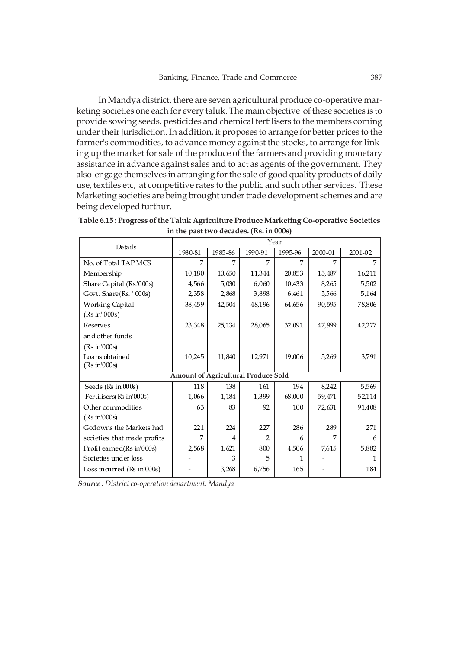In Mandya district, there are seven agricultural produce co-operative marketing societies one each for every taluk. The main objective of these societies is to provide sowing seeds, pesticides and chemical fertilisers to the members coming under their jurisdiction. In addition, it proposes to arrange for better prices to the farmer's commodities, to advance money against the stocks, to arrange for linking up the market for sale of the produce of the farmers and providing monetary assistance in advance against sales and to act as agents of the government. They also engage themselves in arranging for the sale of good quality products of daily use, textiles etc, at competitive rates to the public and such other services. These Marketing societies are being brought under trade development schemes and are being developed furthur.

| Details                     | Year                                       |                |                |         |         |         |
|-----------------------------|--------------------------------------------|----------------|----------------|---------|---------|---------|
|                             | 1980-81                                    | 1985-86        | 1990-91        | 1995-96 | 2000-01 | 2001-02 |
| No. of Total TAP MCS        | 7                                          | 7              | $\overline{7}$ | 7       | 7       | 7       |
| Membership                  | 10,180                                     | 10,650         | 11,344         | 20,853  | 15,487  | 16,211  |
| Share Capital (Rs.'000s)    | 4,566                                      | 5,030          | 6,060          | 10,433  | 8,265   | 5,502   |
| Govt. Share(Rs. '000s)      | 2,358                                      | 2,868          | 3,898          | 6,461   | 5,566   | 5,164   |
| Working Capital             | 38,459                                     | 42,504         | 48,196         | 64,656  | 90,595  | 78,806  |
| (Rs in' 000s)               |                                            |                |                |         |         |         |
| Reserves                    | 23,348                                     | 25,134         | 28,065         | 32,091  | 47,999  | 42,277  |
| and other funds             |                                            |                |                |         |         |         |
| (Rs in 000s)                |                                            |                |                |         |         |         |
| Loans obtained              | 10,245                                     | 11,840         | 12,971         | 19,006  | 5,269   | 3,791   |
| (Rs in 000s)                |                                            |                |                |         |         |         |
|                             | <b>Amount of Agricultural Produce Sold</b> |                |                |         |         |         |
| Seeds (Rs in'000s)          | 118                                        | 138            | 161            | 194     | 8,242   | 5,569   |
| Fertilisers(Rs in'000s)     | 1,066                                      | 1,184          | 1,399          | 68,000  | 59,471  | 52,114  |
| Other commodities           | 63                                         | 83             | 92             | 100     | 72,631  | 91,408  |
| (Rs in 000s)                |                                            |                |                |         |         |         |
| Godowns the Markets had     | 221                                        | 224            | 227            | 286     | 289     | 271     |
| societies that made profits | 7                                          | $\overline{4}$ | $\overline{2}$ | 6       | 7       | 6       |
| Profit earned(Rs in'000s)   | 2,568                                      | 1,621          | 800            | 4,506   | 7,615   | 5,882   |
| Societies under loss        |                                            | 3              | 5              |         |         |         |
| Loss incurred (Rs in'000s)  |                                            | 3,268          | 6,756          | 165     |         | 184     |

**Table 6.15 : Progress of the Taluk Agriculture Produce Marketing Co-operative Societies in the past two decades. (Rs. in 000s)**

*Source : District co-operation department, Mandya*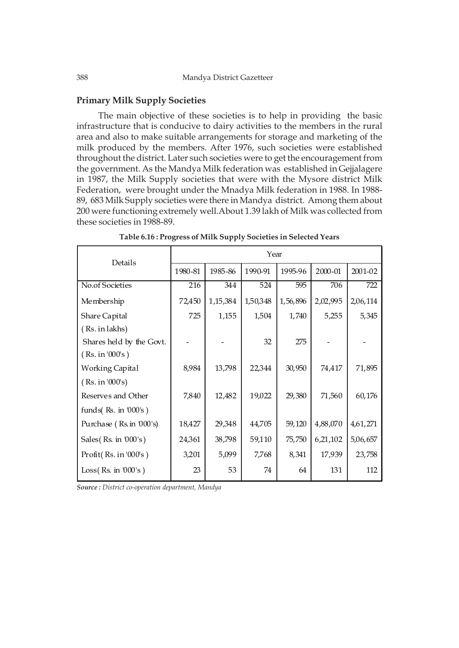### **Primary Milk Supply Societies**

The main objective of these societies is to help in providing the basic infrastructure that is conducive to dairy activities to the members in the rural area and also to make suitable arrangements for storage and marketing of the milk produced by the members. After 1976, such societies were established throughout the district. Later such societies were to get the encouragement from the government. As the Mandya Milk federation was established in Gejjalagere in 1987, the Milk Supply societies that were with the Mysore district Milk Federation, were brought under the Mnadya Milk federation in 1988. In 1988- 89, 683 Milk Supply societies were there in Mandya district. Among them about 200 were functioning extremely well.About 1.39 lakh of Milk was collected from these societies in 1988-89.

| Details                       | Year    |            |          |          |          |          |  |  |
|-------------------------------|---------|------------|----------|----------|----------|----------|--|--|
|                               | 1980-81 | 1985-86    | 1990-91  | 1995-96  | 2000-01  | 2001-02  |  |  |
| No.of Societies               | 216     | 344        | 524      | 595      | 706      | 722      |  |  |
| Membership                    | 72,450  | 1, 15, 384 | 1,50,348 | 1,56,896 | 2,02,995 | 2,06,114 |  |  |
| Share Capital                 | 725     | 1,155      | 1,504    | 1,740    | 5,255    | 5,345    |  |  |
| (Rs. in lakhs)                |         |            |          |          |          |          |  |  |
| Shares held by the Govt.      |         |            | 32       | 275      |          |          |  |  |
| (Rs. in '000's)               |         |            |          |          |          |          |  |  |
| <b>Working Capital</b>        | 8,984   | 13,798     | 22,344   | 30,950   | 74,417   | 71,895   |  |  |
| (Rs. in '000's)               |         |            |          |          |          |          |  |  |
| Reserves and Other            | 7,840   | 12,482     | 19,022   | 29,380   | 71,560   | 60,176   |  |  |
| funds $($ Rs. in $000$ 's $)$ |         |            |          |          |          |          |  |  |
| Purchase (Rs. in '000's)      | 18,427  | 29,348     | 44,705   | 59,120   | 4,88,070 | 4,61,271 |  |  |
| Sales $(Rs. in 000's)$        | 24,361  | 38,798     | 59,110   | 75,750   | 6,21,102 | 5,06,657 |  |  |
| Profit $(Rs.in'000's)$        | 3,201   | 5,099      | 7,768    | 8,341    | 17,939   | 23,758   |  |  |
| Loss(Rs. in 000's)            | 23      | 53         | 74       | 64       | 131      | 112      |  |  |

**Table 6.16 : Progress of Milk Supply Societies in Selected Years**

*Source : District co-operation department, Mandya*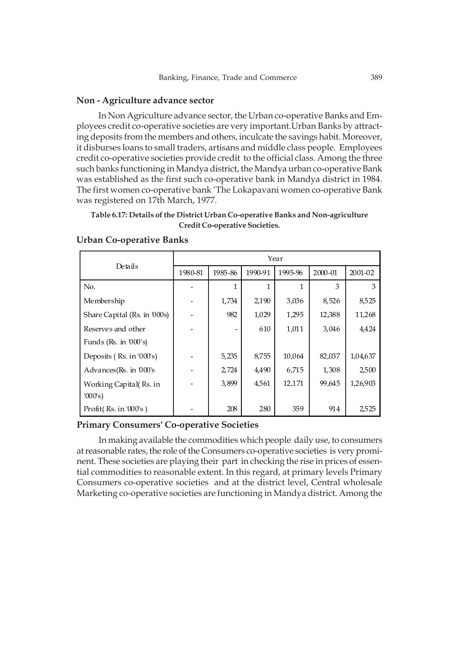### **Non - Agriculture advance sector**

In Non Agriculture advance sector, the Urban co-operative Banks and Employees credit co-operative societies are very important.Urban Banks by attracting deposits from the members and others, inculcate the savings habit. Moreover, it disburses loans to small traders, artisans and middle class people. Employees credit co-operative societies provide credit to the official class. Among the three such banks functioning in Mandya district, the Mandya urban co-operative Bank was established as the first such co-operative bank in Mandya district in 1984. The first women co-operative bank 'The Lokapavani women co-operative Bank was registered on 17th March, 1977.

# **Table 6.17: Details of the District Urban Co-operative Banks and Non-agriculture Credit Co-operative Societies.**

|                                          | Year    |         |         |         |         |          |  |  |
|------------------------------------------|---------|---------|---------|---------|---------|----------|--|--|
| Details                                  | 1980-81 | 1985-86 | 1990-91 | 1995-96 | 2000-01 | 2001-02  |  |  |
| No.                                      |         | 1       | 1       | 1       | 3       | 3        |  |  |
| Membership                               |         | 1,734   | 2,190   | 3,036   | 8,526   | 8,525    |  |  |
| Share Capital (Rs. in 000s)              |         | 982     | 1,029   | 1,295   | 12,388  | 11,268   |  |  |
| Reserves and other                       |         |         | 610     | 1,011   | 3,046   | 4,424    |  |  |
| Funds ( $\text{Rs.}$ in $000\text{′s}$ ) |         |         |         |         |         |          |  |  |
| Deposits (Rs. in '000's)                 |         | 5,235   | 8,755   | 10,064  | 82,037  | 1,04,637 |  |  |
| Advances (Rs. in '000's                  |         | 2,724   | 4,490   | 6,715   | 1,308   | 2,500    |  |  |
| Working Capital(Rs. in                   |         | 3,899   | 4,561   | 12,171  | 99,645  | 1,26,903 |  |  |
| '000's)                                  |         |         |         |         |         |          |  |  |
| Profit $(Rs.in'000's)$                   |         | 208     | 280     | 359     | 914     | 2,525    |  |  |

### **Urban Co-operative Banks**

## **Primary Consumers' Co-operative Societies**

In making available the commodities which people daily use, to consumers at reasonable rates, the role of the Consumers co-operative societies is very prominent. These societies are playing their part in checking the rise in prices of essential commodities to reasonable extent. In this regard, at primary levels Primary Consumers co-operative societies and at the district level, Central wholesale Marketing co-operative societies are functioning in Mandya district. Among the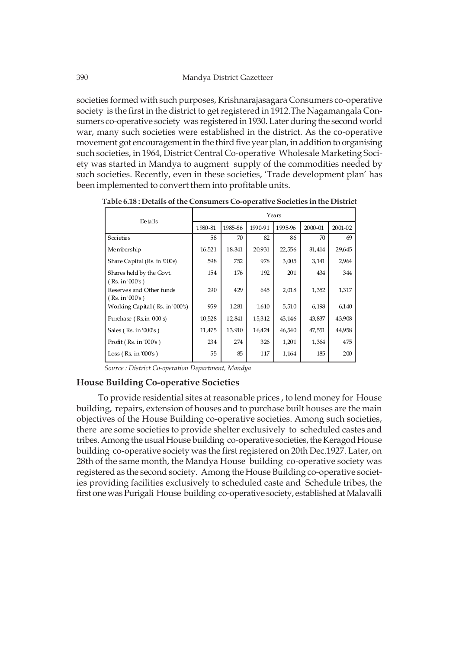societies formed with such purposes, Krishnarajasagara Consumers co-operative society is the first in the district to get registered in 1912.The Nagamangala Consumers co-operative society was registered in 1930. Later during the second world war, many such societies were established in the district. As the co-operative movement got encouragement in the third five year plan, in addition to organising such societies, in 1964, District Central Co-operative Wholesale Marketing Society was started in Mandya to augment supply of the commodities needed by such societies. Recently, even in these societies, 'Trade development plan' has been implemented to convert them into profitable units.

**Table 6.18 : Details of the Consumers Co-operative Societies in the District**

| Details                                     | Years   |         |         |         |         |         |  |  |
|---------------------------------------------|---------|---------|---------|---------|---------|---------|--|--|
|                                             | 1980-81 | 1985-86 | 1990-91 | 1995-96 | 2000-01 | 2001-02 |  |  |
| Societies                                   | 58      | 70      | 82      | 86      | 70      | 69      |  |  |
| Membership                                  | 16,521  | 18,341  | 20,931  | 22,556  | 31,414  | 29,645  |  |  |
| Share Capital (Rs. in 000s)                 | 598     | 752     | 978     | 3,005   | 3,141   | 2,964   |  |  |
| Shares held by the Govt.<br>(Rs. in '000's) | 154     | 176     | 192     | 201     | 434     | 344     |  |  |
| Reserves and Other funds<br>(Rs. in '000's) | 290     | 429     | 645     | 2,018   | 1,352   | 1,317   |  |  |
| Working Capital (Rs. in '000's)             | 959     | 1,281   | 1,610   | 5,510   | 6,198   | 6,140   |  |  |
| Purchase (Rs.in 000's)                      | 10,528  | 12,841  | 15,312  | 43,146  | 43,837  | 43,908  |  |  |
| Sales $(Rs. in '000's)$                     | 11,475  | 13,910  | 16,424  | 46,540  | 47,551  | 44,958  |  |  |
| Profit(Rs.in'000's)                         | 234     | 274     | 326     | 1,201   | 1,364   | 475     |  |  |
| Loss (Rs. in '000's)                        | 55      | 85      | 117     | 1,164   | 185     | 200     |  |  |

 *Source : District Co-operation Department, Mandya*

### **House Building Co-operative Societies**

To provide residential sites at reasonable prices , to lend money for House building, repairs, extension of houses and to purchase built houses are the main objectives of the House Building co-operative societies. Among such societies, there are some societies to provide shelter exclusively to scheduled castes and tribes. Among the usual House building co-operative societies, the Keragod House building co-operative society was the first registered on 20th Dec.1927. Later, on 28th of the same month, the Mandya House building co-operative society was registered as the second society. Among the House Building co-operative societies providing facilities exclusively to scheduled caste and Schedule tribes, the first one was Purigali House building co-operative society, established at Malavalli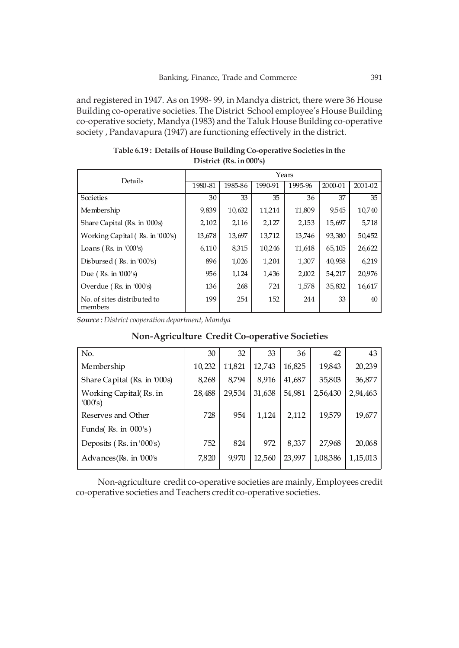and registered in 1947. As on 1998- 99, in Mandya district, there were 36 House Building co-operative societies. The District School employee's House Building co-operative society, Mandya (1983) and the Taluk House Building co-operative society , Pandavapura (1947) are functioning effectively in the district.

|                                                         | Years   |         |         |         |         |             |  |  |  |
|---------------------------------------------------------|---------|---------|---------|---------|---------|-------------|--|--|--|
| Details                                                 | 1980-81 | 1985-86 | 1990-91 | 1995-96 | 2000-01 | $2001 - 02$ |  |  |  |
| Societies                                               | 30      | 33      | 35      | 36      | 37      | 35          |  |  |  |
| Membership                                              | 9,839   | 10,632  | 11,214  | 11,809  | 9,545   | 10,740      |  |  |  |
| Share Capital (Rs. in 000s)                             | 2,102   | 2,116   | 2,127   | 2,153   | 15,697  | 5,718       |  |  |  |
| Working Capital (Rs. in '000's)                         | 13,678  | 13,697  | 13,712  | 13,746  | 93,380  | 50,452      |  |  |  |
| Loans ( $\text{Rs.}$ in $\text{'}000\text{'}\text{s}$ ) | 6,110   | 8,315   | 10,246  | 11,648  | 65,105  | 26,622      |  |  |  |
| Disbursed (Rs. in '000's)                               | 896     | 1,026   | 1,204   | 1,307   | 40,958  | 6,219       |  |  |  |
| Due ( $\text{Rs.}$ in $000\text{'s}$ )                  | 956     | 1,124   | 1,436   | 2,002   | 54,217  | 20,976      |  |  |  |
| Overdue ( $\text{Rs.}$ in '000's)                       | 136     | 268     | 724     | 1,578   | 35,832  | 16,617      |  |  |  |
| No. of sites distributed to<br>members                  | 199     | 254     | 152     | 244     | 33      | 40          |  |  |  |

**Table 6.19 : Details of House Building Co-operative Societies in the District (Rs. in 000's)**

*Source : District cooperation department, Mandya*

| No.                               | 30     | 32     | 33     | 36     | 42       | 43       |
|-----------------------------------|--------|--------|--------|--------|----------|----------|
| Membership                        | 10,232 | 11,821 | 12,743 | 16,825 | 19,843   | 20,239   |
| Share Capital (Rs. in 000s)       | 8,268  | 8,794  | 8,916  | 41,687 | 35,803   | 36,877   |
| Working Capital(Rs. in<br>'000's) | 28,488 | 29,534 | 31,638 | 54,981 | 2,56,430 | 2,94,463 |
| Reserves and Other                | 728    | 954    | 1,124  | 2,112  | 19,579   | 19,677   |
| Funds $(Ks. in 000's)$            |        |        |        |        |          |          |
| Deposits (Rs. in '000's)          | 752    | 824    | 972    | 8,337  | 27,968   | 20,068   |
| Advances(Rs. in '000's            | 7,820  | 9,970  | 12,560 | 23,997 | 1,08,386 | 1,15,013 |

# **Non-Agriculture Credit Co-operative Societies**

Non-agriculture credit co-operative societies are mainly, Employees credit co-operative societies and Teachers credit co-operative societies.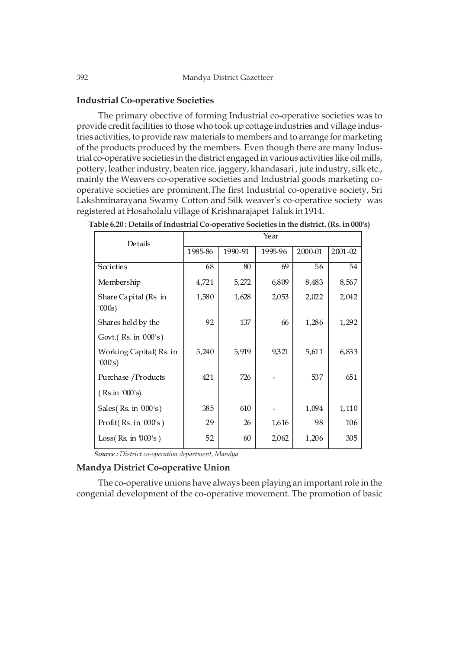### **Industrial Co-operative Societies**

The primary obective of forming Industrial co-operative societies was to provide credit facilities to those who took up cottage industries and village industries activities, to provide raw materials to members and to arrange for marketing of the products produced by the members. Even though there are many Industrial co-operative societies in the district engaged in various activities like oil mills, pottery, leather industry, beaten rice, jaggery, khandasari , jute industry, silk etc., mainly the Weavers co-operative societies and Industrial goods marketing cooperative societies are prominent.The first Industrial co-operative society, Sri Lakshminarayana Swamy Cotton and Silk weaver's co-operative society was registered at Hosaholalu village of Krishnarajapet Taluk in 1914.

| Details                           | Year    |         |         |         |         |  |  |  |  |  |
|-----------------------------------|---------|---------|---------|---------|---------|--|--|--|--|--|
|                                   | 1985-86 | 1990-91 | 1995-96 | 2000-01 | 2001-02 |  |  |  |  |  |
| Societies                         | 68      | 80      | 69      | 56      | 54      |  |  |  |  |  |
| Membership                        | 4,721   | 5,272   | 6,809   | 8,483   | 8,567   |  |  |  |  |  |
| Share Capital (Rs. in<br>'000s)   | 1,580   | 1,628   | 2,053   | 2,022   | 2,042   |  |  |  |  |  |
| Shares held by the                | 92      | 137     | 66      | 1,286   | 1,292   |  |  |  |  |  |
| Govt.(Rs. in '000's)              |         |         |         |         |         |  |  |  |  |  |
| Working Capital(Rs. in<br>'000's) | 5,240   | 5,919   | 9,321   | 5,611   | 6,833   |  |  |  |  |  |
| Purchase / Products               | 421     | 726     |         | 537     | 651     |  |  |  |  |  |
| (Rs.in '000's)                    |         |         |         |         |         |  |  |  |  |  |
| Sales $(Rs. in 000's)$            | 385     | 610     |         | 1,094   | 1,110   |  |  |  |  |  |
| Profit $(Rs.in'000's)$            | 29      | 26      | 1,616   | 98      | 106     |  |  |  |  |  |
| Loss $(Rs. in 000's)$             | 52      | 60      | 2,062   | 1,206   | 305     |  |  |  |  |  |

| Table 6.20 : Details of Industrial Co-operative Societies in the district. (Rs. in 000's) |  |  |  |
|-------------------------------------------------------------------------------------------|--|--|--|
|-------------------------------------------------------------------------------------------|--|--|--|

 *Source : District co-operation department, Mandya*

### **Mandya District Co-operative Union**

The co-operative unions have always been playing an important role in the congenial development of the co-operative movement. The promotion of basic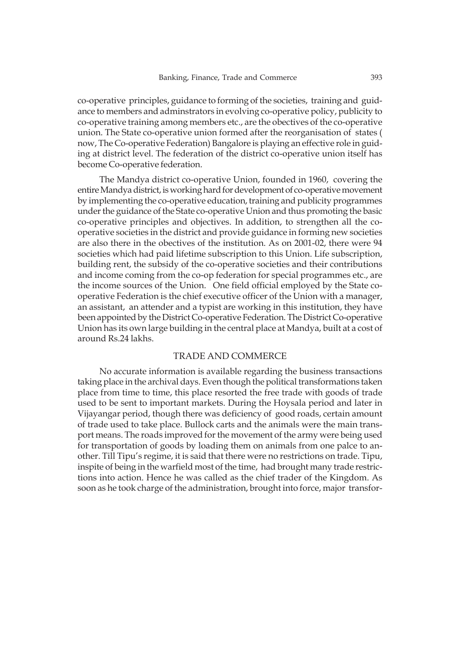co-operative principles, guidance to forming of the societies, training and guidance to members and adminstrators in evolving co-operative policy, publicity to co-operative training among members etc., are the obectives of the co-operative union. The State co-operative union formed after the reorganisation of states ( now, The Co-operative Federation) Bangalore is playing an effective role in guiding at district level. The federation of the district co-operative union itself has become Co-operative federation.

The Mandya district co-operative Union, founded in 1960, covering the entire Mandya district, is working hard for development of co-operative movement by implementing the co-operative education, training and publicity programmes under the guidance of the State co-operative Union and thus promoting the basic co-operative principles and objectives. In addition, to strengthen all the cooperative societies in the district and provide guidance in forming new societies are also there in the obectives of the institution. As on 2001-02, there were 94 societies which had paid lifetime subscription to this Union. Life subscription, building rent, the subsidy of the co-operative societies and their contributions and income coming from the co-op federation for special programmes etc., are the income sources of the Union. One field official employed by the State cooperative Federation is the chief executive officer of the Union with a manager, an assistant, an attender and a typist are working in this institution, they have been appointed by the District Co-operative Federation. The District Co-operative Union has its own large building in the central place at Mandya, built at a cost of around Rs.24 lakhs.

#### TRADE AND COMMERCE

No accurate information is available regarding the business transactions taking place in the archival days. Even though the political transformations taken place from time to time, this place resorted the free trade with goods of trade used to be sent to important markets. During the Hoysala period and later in Vijayangar period, though there was deficiency of good roads, certain amount of trade used to take place. Bullock carts and the animals were the main transport means. The roads improved for the movement of the army were being used for transportation of goods by loading them on animals from one palce to another. Till Tipu's regime, it is said that there were no restrictions on trade. Tipu, inspite of being in the warfield most of the time, had brought many trade restrictions into action. Hence he was called as the chief trader of the Kingdom. As soon as he took charge of the administration, brought into force, major transfor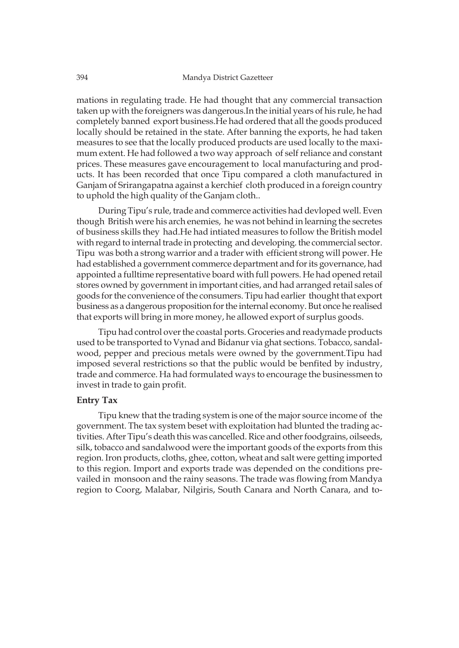mations in regulating trade. He had thought that any commercial transaction taken up with the foreigners was dangerous.In the initial years of his rule, he had completely banned export business.He had ordered that all the goods produced locally should be retained in the state. After banning the exports, he had taken measures to see that the locally produced products are used locally to the maximum extent. He had followed a two way approach of self reliance and constant prices. These measures gave encouragement to local manufacturing and products. It has been recorded that once Tipu compared a cloth manufactured in Ganjam of Srirangapatna against a kerchief cloth produced in a foreign country to uphold the high quality of the Ganjam cloth..

During Tipu's rule, trade and commerce activities had devloped well. Even though British were his arch enemies, he was not behind in learning the secretes of business skills they had.He had intiated measures to follow the British model with regard to internal trade in protecting and developing. the commercial sector. Tipu was both a strong warrior and a trader with efficient strong will power. He had established a government commerce department and for its governance, had appointed a fulltime representative board with full powers. He had opened retail stores owned by government in important cities, and had arranged retail sales of goods for the convenience of the consumers. Tipu had earlier thought that export business as a dangerous proposition for the internal economy. But once he realised that exports will bring in more money, he allowed export of surplus goods.

Tipu had control over the coastal ports. Groceries and readymade products used to be transported to Vynad and Bidanur via ghat sections. Tobacco, sandalwood, pepper and precious metals were owned by the government.Tipu had imposed several restrictions so that the public would be benfited by industry, trade and commerce. Ha had formulated ways to encourage the businessmen to invest in trade to gain profit.

### **Entry Tax**

Tipu knew that the trading system is one of the major source income of the government. The tax system beset with exploitation had blunted the trading activities. After Tipu's death this was cancelled. Rice and other foodgrains, oilseeds, silk, tobacco and sandalwood were the important goods of the exports from this region. Iron products, cloths, ghee, cotton, wheat and salt were getting imported to this region. Import and exports trade was depended on the conditions prevailed in monsoon and the rainy seasons. The trade was flowing from Mandya region to Coorg, Malabar, Nilgiris, South Canara and North Canara, and to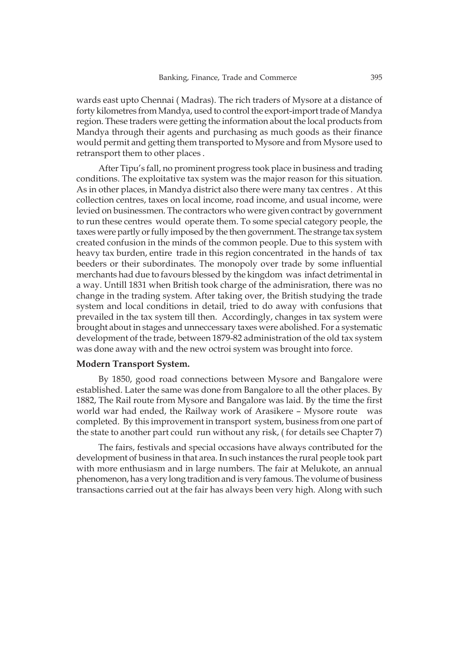wards east upto Chennai ( Madras). The rich traders of Mysore at a distance of forty kilometres from Mandya, used to control the export-import trade of Mandya region. These traders were getting the information about the local products from Mandya through their agents and purchasing as much goods as their finance would permit and getting them transported to Mysore and from Mysore used to retransport them to other places .

After Tipu's fall, no prominent progress took place in business and trading conditions. The exploitative tax system was the major reason for this situation. As in other places, in Mandya district also there were many tax centres . At this collection centres, taxes on local income, road income, and usual income, were levied on businessmen. The contractors who were given contract by government to run these centres would operate them. To some special category people, the taxes were partly or fully imposed by the then government. The strange tax system created confusion in the minds of the common people. Due to this system with heavy tax burden, entire trade in this region concentrated in the hands of tax beeders or their subordinates. The monopoly over trade by some influential merchants had due to favours blessed by the kingdom was infact detrimental in a way. Untill 1831 when British took charge of the adminisration, there was no change in the trading system. After taking over, the British studying the trade system and local conditions in detail, tried to do away with confusions that prevailed in the tax system till then. Accordingly, changes in tax system were brought about in stages and unneccessary taxes were abolished. For a systematic development of the trade, between 1879-82 administration of the old tax system was done away with and the new octroi system was brought into force.

#### **Modern Transport System.**

By 1850, good road connections between Mysore and Bangalore were established. Later the same was done from Bangalore to all the other places. By 1882, The Rail route from Mysore and Bangalore was laid. By the time the first world war had ended, the Railway work of Arasikere – Mysore route was completed. By this improvement in transport system, business from one part of the state to another part could run without any risk, ( for details see Chapter 7)

The fairs, festivals and special occasions have always contributed for the development of business in that area. In such instances the rural people took part with more enthusiasm and in large numbers. The fair at Melukote, an annual phenomenon, has a very long tradition and is very famous. The volume of business transactions carried out at the fair has always been very high. Along with such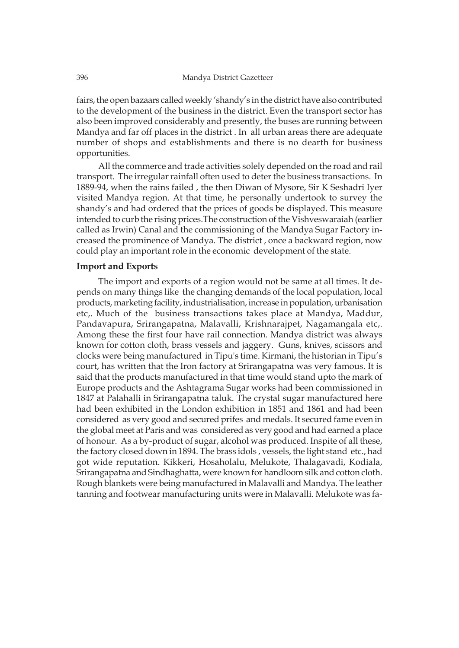fairs, the open bazaars called weekly 'shandy's in the district have also contributed to the development of the business in the district. Even the transport sector has also been improved considerably and presently, the buses are running between Mandya and far off places in the district . In all urban areas there are adequate number of shops and establishments and there is no dearth for business opportunities.

All the commerce and trade activities solely depended on the road and rail transport. The irregular rainfall often used to deter the business transactions. In 1889-94, when the rains failed , the then Diwan of Mysore, Sir K Seshadri Iyer visited Mandya region. At that time, he personally undertook to survey the shandy's and had ordered that the prices of goods be displayed. This measure intended to curb the rising prices.The construction of the Vishveswaraiah (earlier called as Irwin) Canal and the commissioning of the Mandya Sugar Factory increased the prominence of Mandya. The district , once a backward region, now could play an important role in the economic development of the state.

## **Import and Exports**

The import and exports of a region would not be same at all times. It depends on many things like the changing demands of the local population, local products, marketing facility, industrialisation, increase in population, urbanisation etc,. Much of the business transactions takes place at Mandya, Maddur, Pandavapura, Srirangapatna, Malavalli, Krishnarajpet, Nagamangala etc,. Among these the first four have rail connection. Mandya district was always known for cotton cloth, brass vessels and jaggery. Guns, knives, scissors and clocks were being manufactured in Tipu's time. Kirmani, the historian in Tipu's court, has written that the Iron factory at Srirangapatna was very famous. It is said that the products manufactured in that time would stand upto the mark of Europe products and the Ashtagrama Sugar works had been commissioned in 1847 at Palahalli in Srirangapatna taluk. The crystal sugar manufactured here had been exhibited in the London exhibition in 1851 and 1861 and had been considered as very good and secured prifes and medals. It secured fame even in the global meet at Paris and was considered as very good and had earned a place of honour. As a by-product of sugar, alcohol was produced. Inspite of all these, the factory closed down in 1894. The brass idols , vessels, the light stand etc., had got wide reputation. Kikkeri, Hosaholalu, Melukote, Thalagavadi, Kodiala, Srirangapatna and Sindhaghatta, were known for handloom silk and cotton cloth. Rough blankets were being manufactured in Malavalli and Mandya. The leather tanning and footwear manufacturing units were in Malavalli. Melukote was fa-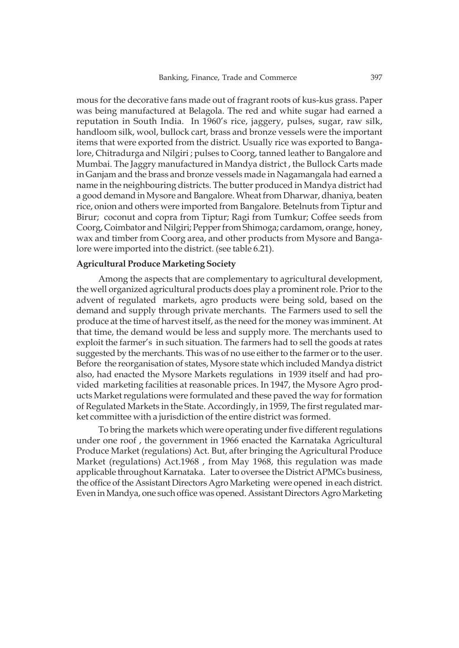mous for the decorative fans made out of fragrant roots of kus-kus grass. Paper was being manufactured at Belagola. The red and white sugar had earned a reputation in South India. In 1960's rice, jaggery, pulses, sugar, raw silk, handloom silk, wool, bullock cart, brass and bronze vessels were the important items that were exported from the district. Usually rice was exported to Bangalore, Chitradurga and Nilgiri ; pulses to Coorg, tanned leather to Bangalore and Mumbai. The Jaggry manufactured in Mandya district , the Bullock Carts made in Ganjam and the brass and bronze vessels made in Nagamangala had earned a name in the neighbouring districts. The butter produced in Mandya district had a good demand in Mysore and Bangalore. Wheat from Dharwar, dhaniya, beaten rice, onion and others were imported from Bangalore. Betelnuts from Tiptur and Birur; coconut and copra from Tiptur; Ragi from Tumkur; Coffee seeds from Coorg, Coimbator and Nilgiri; Pepper from Shimoga; cardamom, orange, honey, wax and timber from Coorg area, and other products from Mysore and Bangalore were imported into the district. (see table 6.21).

#### **Agricultural Produce Marketing Society**

Among the aspects that are complementary to agricultural development, the well organized agricultural products does play a prominent role. Prior to the advent of regulated markets, agro products were being sold, based on the demand and supply through private merchants. The Farmers used to sell the produce at the time of harvest itself, as the need for the money was imminent. At that time, the demand would be less and supply more. The merchants used to exploit the farmer's in such situation. The farmers had to sell the goods at rates suggested by the merchants. This was of no use either to the farmer or to the user. Before the reorganisation of states, Mysore state which included Mandya district also, had enacted the Mysore Markets regulations in 1939 itself and had provided marketing facilities at reasonable prices. In 1947, the Mysore Agro products Market regulations were formulated and these paved the way for formation of Regulated Markets in the State. Accordingly, in 1959, The first regulated market committee with a jurisdiction of the entire district was formed.

To bring the markets which were operating under five different regulations under one roof , the government in 1966 enacted the Karnataka Agricultural Produce Market (regulations) Act. But, after bringing the Agricultural Produce Market (regulations) Act.1968 , from May 1968, this regulation was made applicable throughout Karnataka. Later to oversee the District APMCs business, the office of the Assistant Directors Agro Marketing were opened in each district. Even in Mandya, one such office was opened. Assistant Directors Agro Marketing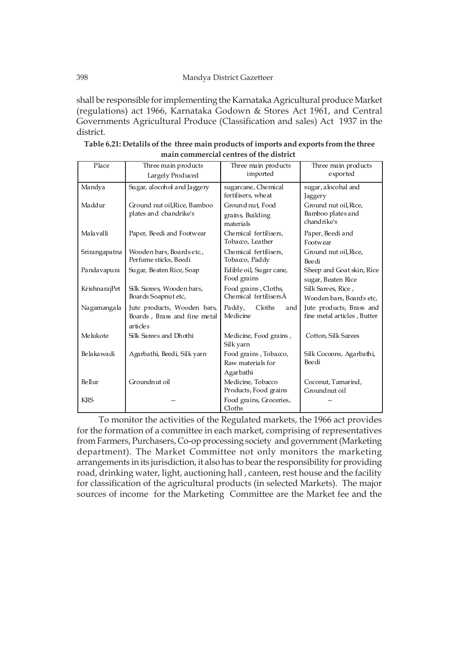shall be responsible for implementing the Karnataka Agricultural produce Market (regulations) act 1966, Karnataka Godown & Stores Act 1961, and Central Governments Agricultural Produce (Classification and sales) Act 1937 in the district.

| Place         | Three main products                                                     | Three main products                                     | Three main products                                       |
|---------------|-------------------------------------------------------------------------|---------------------------------------------------------|-----------------------------------------------------------|
|               | Largely Produced                                                        | imported                                                | exported                                                  |
| Mandya        | Sugar, alocohol and Jaggery                                             | sugarcane, Chemical<br>fertilisers, wheat               | sugar, alocohal and<br>Jaggery                            |
| Maddur        | Ground nut oil, Rice, Bamboo<br>plates and chandrike's                  | Ground nut, Food<br>grains, Building<br>materials       | Ground nut oil, Rice,<br>Bamboo plates and<br>chandrike's |
| Malavalli     | Paper, Beedi and Footwear                                               | Chemical fertilisers,<br>Tobacco, Leather               | Paper, Beedi and<br>Footwear                              |
| Srirangapatna | Wooden bars, Boardsetc.,<br>Perfume sticks, Beedi                       | Chemical fertilisers.<br>Tobacco, Paddy                 | Ground nut oil, Rice,<br>Bee di                           |
| Pandavapura   | Sugar, Beaten Rice, Soap                                                | Edible oil, Sugar cane,<br>Food grains                  | Sheep and Goat skin, Rice<br>sugar, Beaten Rice           |
| KrishnarajPet | Silk Sarees, Wooden bars,<br>Boards Soapnut etc,                        | Food grains, Cloths,<br>Chemical fertilisersA           | Silk Sarees, Rice,<br>Wooden bars, Boards etc,            |
| Nagamangala   | Jute products, Wooden bars,<br>Boards, Brass and fine metal<br>articles | Paddy,<br>Cloths<br>and<br>Medicine                     | Jute products, Brass and<br>fine metal articles, Butter   |
| Melukote      | Silk Sarees and Dhothi                                                  | Medicine, Food grains,<br>Silk yarn                     | Cotton, Silk Sarees                                       |
| Belakawadi    | Agarbathi, Beedi, Silk yarn                                             | Food grains, Tobacco,<br>Raw materials for              | Silk Cocoons, Agarbathi,<br><b>Bee di</b>                 |
| Bellur        | Groundnut oil                                                           | Agarbathi<br>Medicine, Tobacco<br>Products, Food grains | Coconut, Tamarind,<br>Groundnut oil                       |
| <b>KRS</b>    |                                                                         | Food grains, Groceries,<br>Cloths                       |                                                           |

| Table 6.21: Detalils of the three main products of imports and exports from the three |
|---------------------------------------------------------------------------------------|
| main commercial centres of the district                                               |

To monitor the activities of the Regulated markets, the 1966 act provides for the formation of a committee in each market, comprising of representatives from Farmers, Purchasers, Co-op processing society and government (Marketing department). The Market Committee not only monitors the marketing arrangements in its jurisdiction, it also has to bear the responsibility for providing road, drinking water, light, auctioning hall , canteen, rest house and the facility for classification of the agricultural products (in selected Markets). The major sources of income for the Marketing Committee are the Market fee and the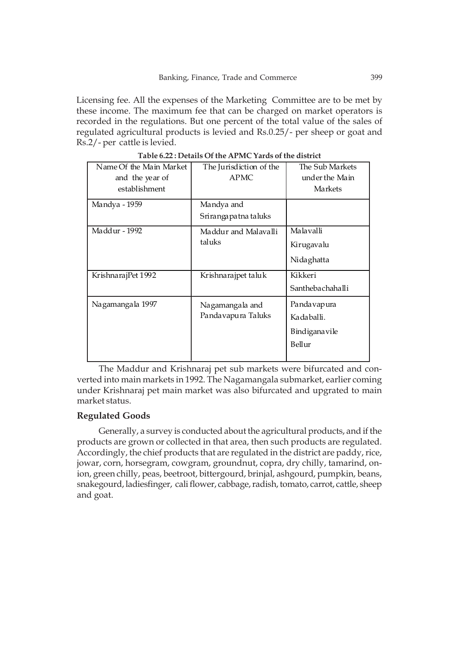Licensing fee. All the expenses of the Marketing Committee are to be met by these income. The maximum fee that can be charged on market operators is recorded in the regulations. But one percent of the total value of the sales of regulated agricultural products is levied and Rs.0.25/- per sheep or goat and Rs.2/- per cattle is levied.

| Name Of the Main Market<br>and the year of<br>establishment | The Jurisdiction of the<br><b>APMC</b> | The Sub Markets<br>under the Main<br>Markets         |
|-------------------------------------------------------------|----------------------------------------|------------------------------------------------------|
| Mandya - 1959                                               | Mandya and<br>Srirangapatna taluks     |                                                      |
| Maddur - 1992                                               | Maddur and Malavalli<br>taluks         | Malavalli<br>Kirugavalu<br>Nidaghatta                |
| KrishnarajPet 1992                                          | Krishnarajpet taluk                    | Kikkeri<br>Santhebachahalli                          |
| Nagamangala 1997                                            | Nagamangala and<br>Pandavapura Taluks  | Pandavapura<br>Kadaballi.<br>Bindiganavile<br>Bellur |

**Table 6.22 : Details Of the APMC Yards of the district**

The Maddur and Krishnaraj pet sub markets were bifurcated and converted into main markets in 1992. The Nagamangala submarket, earlier coming under Krishnaraj pet main market was also bifurcated and upgrated to main market status.

### **Regulated Goods**

Generally, a survey is conducted about the agricultural products, and if the products are grown or collected in that area, then such products are regulated. Accordingly, the chief products that are regulated in the district are paddy, rice, jowar, corn, horsegram, cowgram, groundnut, copra, dry chilly, tamarind, onion, green chilly, peas, beetroot, bittergourd, brinjal, ashgourd, pumpkin, beans, snakegourd, ladiesfinger, cali flower, cabbage, radish, tomato, carrot, cattle, sheep and goat.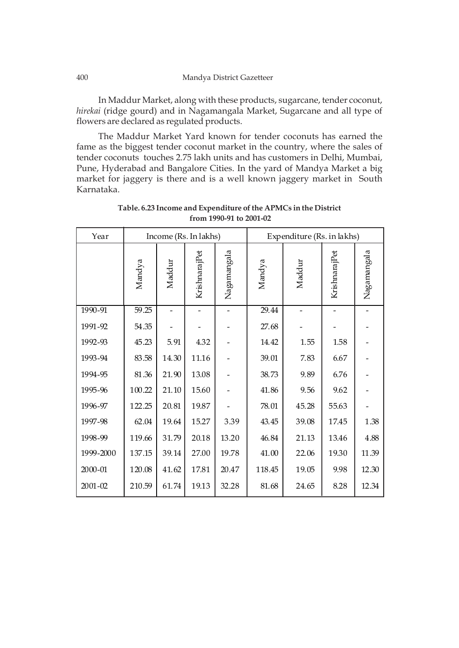In Maddur Market, along with these products, sugarcane, tender coconut, *hirekai* (ridge gourd) and in Nagamangala Market, Sugarcane and all type of flowers are declared as regulated products.

The Maddur Market Yard known for tender coconuts has earned the fame as the biggest tender coconut market in the country, where the sales of tender coconuts touches 2.75 lakh units and has customers in Delhi, Mumbai, Pune, Hyderabad and Bangalore Cities. In the yard of Mandya Market a big market for jaggery is there and is a well known jaggery market in South Karnataka.

| Year        | Income (Rs. In lakhs) |        |               |             | Expenditure (Rs. in lakhs) |        |               |             |
|-------------|-----------------------|--------|---------------|-------------|----------------------------|--------|---------------|-------------|
|             | Mandya                | Maddur | KrishnarajPet | Nagamangala | Mandya                     | Maddur | KrishnarajPet | Nagamangala |
| 1990-91     | 59.25                 |        |               |             | 29.44                      |        |               |             |
| 1991-92     | 54.35                 |        |               |             | 27.68                      |        |               |             |
| 1992-93     | 45.23                 | 5.91   | 4.32          |             | 14.42                      | 1.55   | 1.58          |             |
| 1993-94     | 83.58                 | 14.30  | $11.16\,$     |             | 39.01                      | 7.83   | 6.67          |             |
| 1994-95     | 81.36                 | 21.90  | 13.08         |             | 38.73                      | 9.89   | 6.76          |             |
| 1995-96     | 100.22                | 21.10  | 15.60         |             | 41.86                      | 9.56   | 9.62          |             |
| 1996-97     | 122.25                | 20.81  | 19.87         |             | 78.01                      | 45.28  | 55.63         |             |
| 1997-98     | 62.04                 | 19.64  | 15.27         | 3.39        | 43.45                      | 39.08  | 17.45         | 1.38        |
| 1998-99     | 119.66                | 31.79  | 20.18         | 13.20       | 46.84                      | 21.13  | 13.46         | 4.88        |
| 1999-2000   | 137.15                | 39.14  | 27.00         | 19.78       | 41.00                      | 22.06  | 19.30         | 11.39       |
| 2000-01     | 120.08                | 41.62  | 17.81         | 20.47       | 118.45                     | 19.05  | 9.98          | 12.30       |
| $2001 - 02$ | 210.59                | 61.74  | 19.13         | 32.28       | 81.68                      | 24.65  | 8.28          | 12.34       |

**Table. 6.23 Income and Expenditure of the APMCs in the District from 1990-91 to 2001-02**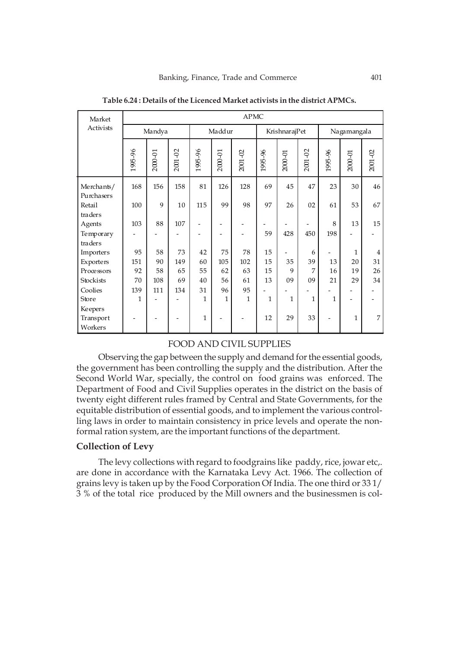| Market                   | <b>APMC</b> |         |         |              |              |              |               |              |                |              |              |                |
|--------------------------|-------------|---------|---------|--------------|--------------|--------------|---------------|--------------|----------------|--------------|--------------|----------------|
| Activists                |             | Mandya  |         |              | Maddur       |              | KrishnarajPet |              |                | Nagamangala  |              |                |
|                          | 1995-96     | 2000-01 | 2001-02 | 1995-96      | 2000-01      | 2001-02      | 1995-96       | 2000-01      | 2001-02        | 1995-96      | 2000-01      | 2001-02        |
| Merchants/<br>Purchasers | 168         | 156     | 158     | 81           | 126          | 128          | 69            | 45           | 47             | 23           | 30           | 46             |
| Retail                   | $100\,$     | 9       | 10      | 115          | 99           | 98           | 97            | 26           | 02             | 61           | 53           | 67             |
| traders                  |             |         |         |              |              |              |               |              |                |              |              |                |
| Agents                   | 103         | 88      | 107     |              |              |              |               |              |                | 8            | 13           | 15             |
| Temporary                |             |         |         |              |              |              | 59            | 428          | 450            | 198          |              |                |
| traders                  |             |         |         |              |              |              |               |              |                |              |              |                |
| Importers                | 95          | 58      | 73      | 42           | 75           | 78           | 15            |              | 6              |              | $\mathbf{1}$ | $\overline{4}$ |
| Exporters                | 151         | 90      | 149     | 60           | 105          | 102          | 15            | 35           | 39             | 13           | 20           | 31             |
| Processors               | 92          | 58      | 65      | 55           | 62           | 63           | 15            | 9            | 7              | 16           | 19           | 26             |
| Stockists                | 70          | 108     | 69      | 40           | 56           | 61           | 13            | 09           | 09             | 21           | 29           | 34             |
| Coolies                  | 139         | 111     | 134     | 31           | 96           | 95           |               |              |                |              |              |                |
| Store                    | 1           |         |         | $\mathbf{1}$ | $\mathbf{1}$ | $\mathbf{1}$ | $\mathbf{1}$  | $\mathbf{1}$ | $\overline{1}$ | $\mathbf{1}$ |              |                |
| Keepers                  |             |         |         |              |              |              |               |              |                |              |              |                |
| Transport                |             |         |         | $\mathbf{1}$ |              |              | 12            | 29           | 33             |              | 1            | 7              |
| Workers                  |             |         |         |              |              |              |               |              |                |              |              |                |

**Table 6.24 : Details of the Licenced Market activists in the district APMCs.**

### FOOD AND CIVIL SUPPLIES

Observing the gap between the supply and demand for the essential goods, the government has been controlling the supply and the distribution. After the Second World War, specially, the control on food grains was enforced. The Department of Food and Civil Supplies operates in the district on the basis of twenty eight different rules framed by Central and State Governments, for the equitable distribution of essential goods, and to implement the various controlling laws in order to maintain consistency in price levels and operate the nonformal ration system, are the important functions of the department.

# **Collection of Levy**

The levy collections with regard to foodgrains like paddy, rice, jowar etc,. are done in accordance with the Karnataka Levy Act. 1966. The collection of grains levy is taken up by the Food Corporation Of India. The one third or 33 1/ 3 % of the total rice produced by the Mill owners and the businessmen is col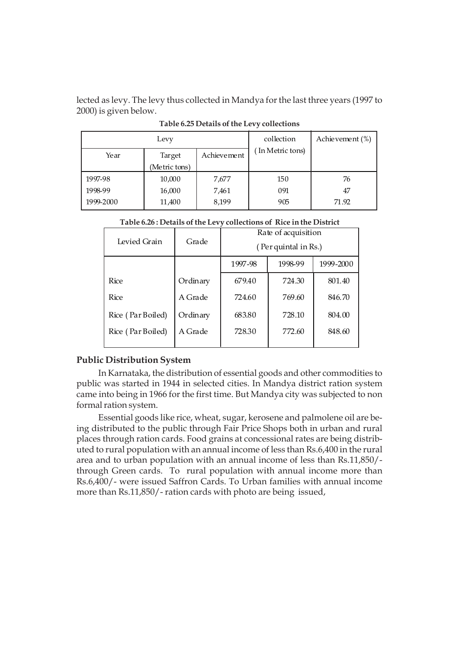lected as levy. The levy thus collected in Mandya for the last three years (1997 to 2000) is given below.

| Levy      |               |             | collection      | Achievement $(\%)$ |
|-----------|---------------|-------------|-----------------|--------------------|
| Year      | Target        | Achievement | In Metric tons) |                    |
|           | (Metric tons) |             |                 |                    |
| 1997-98   | 10,000        | 7,677       | 150             | 76                 |
| 1998-99   | 16,000        | 7,461       | 091             | 47                 |
| 1999-2000 | 11,400        | 8,199       | 905             | 71.92              |

**Table 6.25 Details of the Levy collections**

| Levied Grain      | Grade    | Rate of acquisition<br>(Per quintal in Rs.) |        |        |  |  |  |
|-------------------|----------|---------------------------------------------|--------|--------|--|--|--|
|                   |          | 1999-2000<br>1998-99<br>1997-98             |        |        |  |  |  |
| Rice              | Ordinary | 679.40                                      | 724.30 | 801.40 |  |  |  |
| <b>Rice</b>       | A Grade  | 724.60                                      | 769.60 | 846.70 |  |  |  |
| Rice (Par Boiled) | Ordinary | 683.80                                      | 728.10 | 804.00 |  |  |  |
| Rice (Par Boiled) | A Grade  | 728.30                                      | 772.60 | 848.60 |  |  |  |
|                   |          |                                             |        |        |  |  |  |

### **Public Distribution System**

In Karnataka, the distribution of essential goods and other commodities to public was started in 1944 in selected cities. In Mandya district ration system came into being in 1966 for the first time. But Mandya city was subjected to non formal ration system.

Essential goods like rice, wheat, sugar, kerosene and palmolene oil are being distributed to the public through Fair Price Shops both in urban and rural places through ration cards. Food grains at concessional rates are being distributed to rural population with an annual income of less than Rs.6,400 in the rural area and to urban population with an annual income of less than Rs.11,850/ through Green cards. To rural population with annual income more than Rs.6,400/- were issued Saffron Cards. To Urban families with annual income more than Rs.11,850/- ration cards with photo are being issued,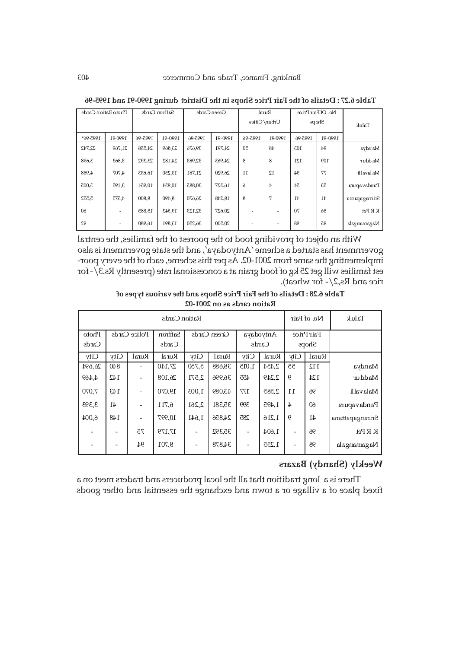| Photo Ration Cards |         |         | Saffron Cards | Green Cards |         | Rural           |         | No. Of Fair Price |         |               |
|--------------------|---------|---------|---------------|-------------|---------|-----------------|---------|-------------------|---------|---------------|
|                    |         |         |               |             |         | Urban/Cities    |         | Shops             |         | Taluk         |
| 1995-96*           | 1990-91 | 1995-96 | 1990-91       | 1995-96     | 1990-91 | 1995-96         | 1990-91 | 1995-96           | 1990-91 |               |
| 22,742             | 21,769  | 24,558  | 23,869        | 39,676      | 24,791  | 50              | 48      | 103               | 94      | Mandya        |
| 3,698              | 3,863   | 23,392  | 24,182        | 32,963      | 24,963  | 8               | 8       | 121               | 109     | Ma ddur       |
| 4.988              | 4.707   | 16,633  | 13,250        | 21,761      | 26,920  | $\overline{11}$ | 12      | 94                | 77      | Ma lavalli    |
| 3,005              | 3,195   | 10,954  | 10.954        | 30,885      | 16,327  | 6               | 4       | 54                | 53      | Pandavapura   |
| 5,552              | 4,575   | 8.800   | 8.490         | 26,670      | 18,248  | 8               | 7       | 41                | 41      | Srimagapa tna |
| 60                 |         | 15,885  | 19,543        | 32,123      | 20,627  |                 |         | 70                | 86      | K R Pet       |
| 92                 |         | 16,980  | 13,891        | 36,250      | 20,500  |                 |         | 98                | 95      | Nagamangala   |

**Table 6.27 : Details of the Fair Price Shops in the District during 1990-91 and 1995-96**

With an object of providing food to the poorest of the families, the central government has started a scheme 'Antyodaya', and the state government is also implementing the same from 2001-02. As per this scheme, each of the every poorest families will get 25 kg of food grain at a concessional rate (presently Rs.3/- for rice and Rs,2/- for wheat).

**Table 6.28 : Details of the Fair Price Shops and the various types of** Ration cards as on 2001-02

| Ration Cards   |              |                              |                  |                |        |                    |       | No. of Fair              | Taluk  |                 |
|----------------|--------------|------------------------------|------------------|----------------|--------|--------------------|-------|--------------------------|--------|-----------------|
| Photo<br>Cards | Police Cards |                              | Saffron<br>Cards | Green Cards    |        | Antyodaya<br>Cards |       | Fair Price<br>Shops      |        |                 |
| City           | <b>City</b>  | Rural                        | Rural            | City           | Rural  | City               | Rural | City                     | Rural  |                 |
| 26,694         | 840          |                              | 27,140           | 5,750          | 38,688 | 1,015              | 2,454 | 55                       | 112    | Mandya          |
| 4,469          | 142          | $\overline{\phantom{a}}$     | 26,108           | 2,571          | 36,996 | 455                | 2,249 | $\theta$                 | 124    | Maddur          |
| 7,070          | 143          | $\overline{\phantom{a}}$     | 19,070           | 1,003          | 43,089 | 177                | 2,585 | 11                       | 96     | Malavalli       |
| 3,393          | 41           | $\qquad \qquad \blacksquare$ | 6,711            | 2,261          | 35,581 | 399                | 1,495 | $\overline{4}$           | 60     | Pandavapura     |
| 6,004          | 148          | $\overline{\phantom{a}}$     | 10,997           | 1,641          | 24,856 | 285                | 1,216 | 6                        | $41\,$ | Srirangapattana |
|                |              | 75                           | 17,179           | $\blacksquare$ | 35,392 | -                  | 1,604 | $\overline{\phantom{0}}$ | 96     | $K$ R Pet       |
|                |              | 94                           | 8,701            |                | 34,878 | -                  | 1,255 | -                        | 98     | Nagamangala     |

### **Weekly (Shandy) Bazars**

There is a long tradition that all the local producers and traders meet on a fixed place of a village or a town and exchange the essential and other goods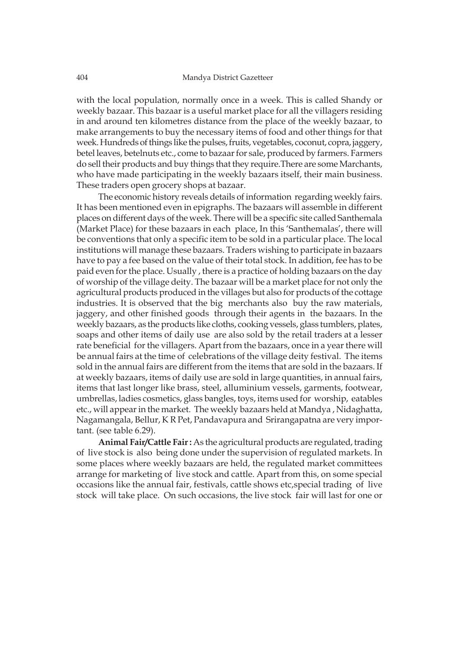with the local population, normally once in a week. This is called Shandy or weekly bazaar. This bazaar is a useful market place for all the villagers residing in and around ten kilometres distance from the place of the weekly bazaar, to make arrangements to buy the necessary items of food and other things for that week. Hundreds of things like the pulses, fruits, vegetables, coconut, copra, jaggery, betel leaves, betelnuts etc., come to bazaar for sale, produced by farmers. Farmers do sell their products and buy things that they require.There are some Marchants, who have made participating in the weekly bazaars itself, their main business. These traders open grocery shops at bazaar.

The economic history reveals details of information regarding weekly fairs. It has been mentioned even in epigraphs. The bazaars will assemble in different places on different days of the week. There will be a specific site called Santhemala (Market Place) for these bazaars in each place, In this 'Santhemalas', there will be conventions that only a specific item to be sold in a particular place. The local institutions will manage these bazaars. Traders wishing to participate in bazaars have to pay a fee based on the value of their total stock. In addition, fee has to be paid even for the place. Usually , there is a practice of holding bazaars on the day of worship of the village deity. The bazaar will be a market place for not only the agricultural products produced in the villages but also for products of the cottage industries. It is observed that the big merchants also buy the raw materials, jaggery, and other finished goods through their agents in the bazaars. In the weekly bazaars, as the products like cloths, cooking vessels, glass tumblers, plates, soaps and other items of daily use are also sold by the retail traders at a lesser rate beneficial for the villagers. Apart from the bazaars, once in a year there will be annual fairs at the time of celebrations of the village deity festival. The items sold in the annual fairs are different from the items that are sold in the bazaars. If at weekly bazaars, items of daily use are sold in large quantities, in annual fairs, items that last longer like brass, steel, alluminium vessels, garments, footwear, umbrellas, ladies cosmetics, glass bangles, toys, items used for worship, eatables etc., will appear in the market. The weekly bazaars held at Mandya , Nidaghatta, Nagamangala, Bellur, K R Pet, Pandavapura and Srirangapatna are very important. (see table 6.29).

**Animal Fair/Cattle Fair :** As the agricultural products are regulated, trading of live stock is also being done under the supervision of regulated markets. In some places where weekly bazaars are held, the regulated market committees arrange for marketing of live stock and cattle. Apart from this, on some special occasions like the annual fair, festivals, cattle shows etc,special trading of live stock will take place. On such occasions, the live stock fair will last for one or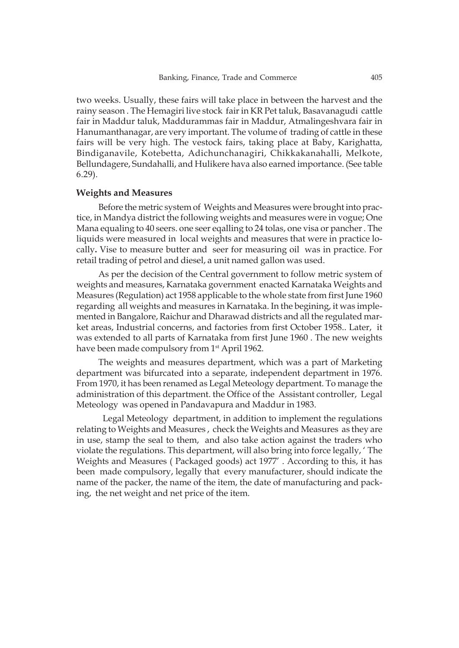two weeks. Usually, these fairs will take place in between the harvest and the rainy season . The Hemagiri live stock fair in KR Pet taluk, Basavanagudi cattle fair in Maddur taluk, Maddurammas fair in Maddur, Atmalingeshvara fair in Hanumanthanagar, are very important. The volume of trading of cattle in these fairs will be very high. The vestock fairs, taking place at Baby, Karighatta, Bindiganavile, Kotebetta, Adichunchanagiri, Chikkakanahalli, Melkote, Bellundagere, Sundahalli, and Hulikere hava also earned importance. (See table 6.29).

#### **Weights and Measures**

Before the metric system of Weights and Measures were brought into practice, in Mandya district the following weights and measures were in vogue; One Mana equaling to 40 seers. one seer eqalling to 24 tolas, one visa or pancher . The liquids were measured in local weights and measures that were in practice locally**.** Vise to measure butter and seer for measuring oil was in practice. For retail trading of petrol and diesel, a unit named gallon was used.

As per the decision of the Central government to follow metric system of weights and measures, Karnataka government enacted Karnataka Weights and Measures (Regulation) act 1958 applicable to the whole state from first June 1960 regarding all weights and measures in Karnataka. In the begining, it was implemented in Bangalore, Raichur and Dharawad districts and all the regulated market areas, Industrial concerns, and factories from first October 1958.. Later, it was extended to all parts of Karnataka from first June 1960 . The new weights have been made compulsory from 1<sup>st</sup> April 1962.

The weights and measures department, which was a part of Marketing department was bifurcated into a separate, independent department in 1976. From 1970, it has been renamed as Legal Meteology department. To manage the administration of this department. the Office of the Assistant controller, Legal Meteology was opened in Pandavapura and Maddur in 1983.

 Legal Meteology department, in addition to implement the regulations relating to Weights and Measures , check the Weights and Measures as they are in use, stamp the seal to them, and also take action against the traders who violate the regulations. This department, will also bring into force legally, ' The Weights and Measures ( Packaged goods) act 1977' . According to this, it has been made compulsory, legally that every manufacturer, should indicate the name of the packer, the name of the item, the date of manufacturing and packing, the net weight and net price of the item.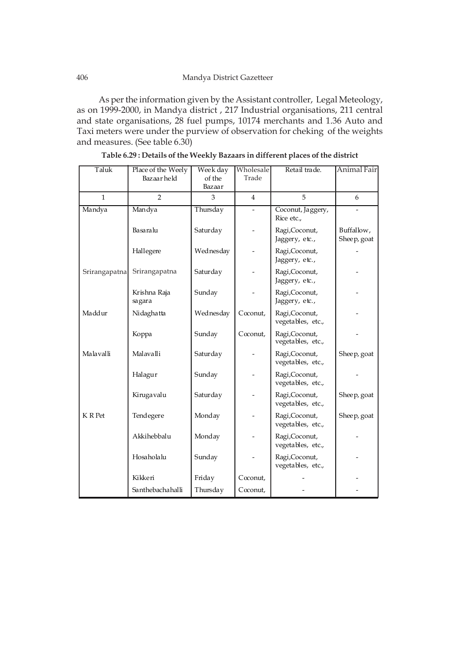As per the information given by the Assistant controller, Legal Meteology, as on 1999-2000, in Mandya district , 217 Industrial organisations, 211 central and state organisations, 28 fuel pumps, 10174 merchants and 1.36 Auto and Taxi meters were under the purview of observation for cheking of the weights and measures. (See table 6.30)

| Taluk         | Place of the Weely<br>Bazaar held | Week day<br>of the<br>Bazaar | Wholesale<br>Trade  | Retail trade.                       | Animal Fair               |
|---------------|-----------------------------------|------------------------------|---------------------|-------------------------------------|---------------------------|
| $\mathbf{1}$  | $\mathcal{P}$                     | 3                            | 4                   | 5                                   | 6                         |
| Mandya        | Mandya                            | Thursday                     |                     | Coconut, Jaggery,<br>Rice etc.,     |                           |
|               | Basaralu                          | Saturday                     |                     | Ragi,Coconut,<br>Jaggery, etc.,     | Buffallow,<br>Sheep, goat |
|               | Hallegere                         | Wednesday                    |                     | Ragi,Coconut,<br>Jaggery, etc.,     |                           |
| Srirangapatna | Srirangapatna                     | Saturday                     |                     | Ragi,Coconut,<br>Jaggery, etc.,     |                           |
|               | Krishna Raja<br>sagara            | Sunday                       |                     | Ragi,Coconut,<br>Jaggery, etc.,     |                           |
| Maddur        | Nidaghatta                        | Wednesday                    | $C_{\alpha}$ conut, | Ragi,Coconut,<br>vegetables, etc.,  |                           |
|               | Koppa                             | Sunday                       | Coconut,            | Ragi,Coconut,<br>vegetables, etc.,  |                           |
| Malavalli     | Malavalli                         | Saturday                     |                     | Ragi, Coconut,<br>vegetables, etc., | Sheep, goat               |
|               | Halagur                           | Sunday                       |                     | Ragi,Coconut,<br>vegetables, etc.,  |                           |
|               | Kirugavalu                        | Saturday                     |                     | Ragi,Coconut,<br>vegetables, etc.,  | Sheep, goat               |
| K R Pet       | Tendegere                         | Monday                       |                     | Ragi,Coconut,<br>vegetables, etc.,  | Sheep, goat               |
|               | Akkihebbalu                       | Monday                       |                     | Ragi,Coconut,<br>vegetables, etc.,  |                           |
|               | Hosaholalu                        | Sunday                       |                     | Ragi,Coconut,<br>vegetables, etc.,  |                           |
|               | Kikkeri                           | Friday                       | Coconut,            |                                     |                           |
|               | Santhebachahalli                  | Thursday                     | Coconut,            |                                     |                           |

**Table 6.29 : Details of the Weekly Bazaars in different places of the district**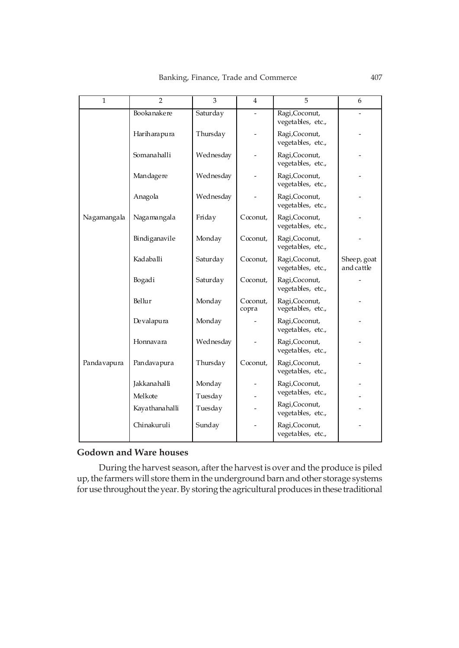| $\mathbf{1}$ | $\overline{2}$ | 3         | $\overline{4}$      | 5                                   | 6                         |
|--------------|----------------|-----------|---------------------|-------------------------------------|---------------------------|
|              | Bookanakere    | Saturday  |                     | Ragi, Coconut,<br>vegetables, etc., |                           |
|              | Hariharapura   | Thursday  |                     | Ragi,Coconut,<br>vegetables, etc.,  |                           |
|              | Somanahalli    | Wednesday |                     | Ragi,Coconut,<br>vegetables, etc.,  |                           |
|              | Mandagere      | Wednesday |                     | Ragi,Coconut,<br>vegetables, etc.,  |                           |
|              | Anagola        | Wednesday |                     | Ragi,Coconut,<br>vegetables, etc.,  |                           |
| Nagamangala  | Nagamangala    | Friday    | Coconut,            | Ragi,Coconut,<br>vegetables, etc.,  |                           |
|              | Bindiganavile  | Monday    | $C$ conut,          | Ragi,Coconut,<br>vegetables, etc.,  |                           |
|              | Kadaballi      | Saturday  | Coconut,            | Ragi,Coconut,<br>vegetables, etc.,  | Sheep, goat<br>and cattle |
|              | Bogadi         | Saturday  | Coconut,            | Ragi,Coconut,<br>vegetables, etc.,  |                           |
|              | Bellur         | Monday    | Coconut,<br>copra   | Ragi,Coconut,<br>vegetables, etc.,  |                           |
|              | Devalapura     | Monday    |                     | Ragi,Coconut,<br>vegetables, etc.,  |                           |
|              | Honnavara      | Wednesday |                     | Ragi,Coconut,<br>vegetables, etc.,  |                           |
| Pandavapura  | Pandavapura    | Thursday  | $C_{\alpha}$ conut, | Ragi,Coconut,<br>vegetables, etc.,  |                           |
|              | Jakkanahalli   | Monday    |                     | Ragi,Coconut,                       |                           |
|              | Melkote        | Tuesday   |                     | vegetables, etc.,                   |                           |
|              | Kayathanahalli | Tuesday   |                     | Ragi,Coconut,<br>vegetables, etc.,  |                           |
|              | Chinakuruli    | Sunday    |                     | Ragi,Coconut,<br>vegetables, etc.,  |                           |

# **Godown and Ware houses**

During the harvest season, after the harvest is over and the produce is piled up, the farmers will store them in the underground barn and other storage systems for use throughout the year. By storing the agricultural produces in these traditional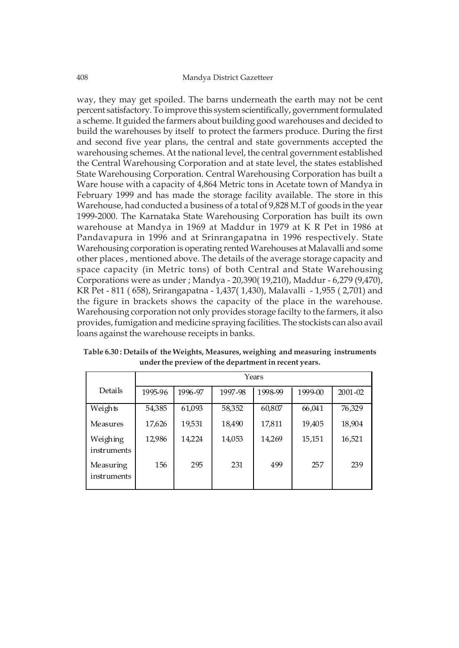way, they may get spoiled. The barns underneath the earth may not be cent percent satisfactory. To improve this system scientifically, government formulated a scheme. It guided the farmers about building good warehouses and decided to build the warehouses by itself to protect the farmers produce. During the first and second five year plans, the central and state governments accepted the warehousing schemes. At the national level, the central government established the Central Warehousing Corporation and at state level, the states established State Warehousing Corporation. Central Warehousing Corporation has built a Ware house with a capacity of 4,864 Metric tons in Acetate town of Mandya in February 1999 and has made the storage facility available. The store in this Warehouse, had conducted a business of a total of 9,828 M.T of goods in the year 1999-2000. The Karnataka State Warehousing Corporation has built its own warehouse at Mandya in 1969 at Maddur in 1979 at K R Pet in 1986 at Pandavapura in 1996 and at Srinrangapatna in 1996 respectively. State Warehousing corporation is operating rented Warehouses at Malavalli and some other places , mentioned above. The details of the average storage capacity and space capacity (in Metric tons) of both Central and State Warehousing Corporations were as under ; Mandya - 20,390( 19,210), Maddur - 6,279 (9,470), KR Pet - 811 ( 658), Srirangapatna - 1,437( 1,430), Malavalli - 1,955 ( 2,701) and the figure in brackets shows the capacity of the place in the warehouse. Warehousing corporation not only provides storage facilty to the farmers, it also provides, fumigation and medicine spraying facilities. The stockists can also avail loans against the warehouse receipts in banks.

|                          | Years   |         |         |         |         |             |  |  |
|--------------------------|---------|---------|---------|---------|---------|-------------|--|--|
| Details                  | 1995-96 | 1996-97 | 1997-98 | 1998-99 | 1999-00 | $2001 - 02$ |  |  |
| Weights                  | 54,385  | 61,093  | 58,352  | 60,807  | 66,041  | 76,329      |  |  |
| Measures                 | 17,626  | 19,531  | 18,490  | 17,811  | 19,405  | 18,904      |  |  |
| Weighing<br>instruments  | 12,986  | 14,224  | 14,053  | 14,269  | 15,151  | 16,521      |  |  |
| Measuring<br>instruments | 156     | 295     | 231     | 499     | 257     | 239         |  |  |

**Table 6.30 : Details of the Weights, Measures, weighing and measuring instruments under the preview of the department in recent years.**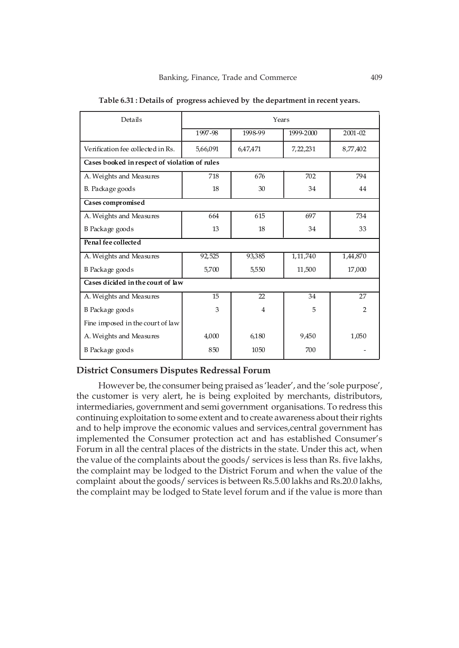| Details                                       | Years    |          |            |                |  |  |  |
|-----------------------------------------------|----------|----------|------------|----------------|--|--|--|
|                                               | 1997-98  | 1998-99  | 1999-2000  | 2001-02        |  |  |  |
| Verification fee collected in Rs.             | 5,66,091 | 6,47,471 | 7,22,231   | 8,77,402       |  |  |  |
| Cases booked in respect of violation of rules |          |          |            |                |  |  |  |
| A. Weights and Measures                       | 718      | 676      | 702        | 794            |  |  |  |
| B. Package goods                              | 18       | 30       | 34         | 44             |  |  |  |
| Cases compromised                             |          |          |            |                |  |  |  |
| A. Weights and Measures                       | 664      | 615      | 697        | 734            |  |  |  |
| B Package goods                               | 13       | 18       | 34         | 33             |  |  |  |
| Penal fee collected                           |          |          |            |                |  |  |  |
| A. Weights and Measures                       | 92,525   | 93,385   | 1, 11, 740 | 1,44,870       |  |  |  |
| B Package goods                               | 5,700    | 5,550    | 11,500     | 17,000         |  |  |  |
| Cases dicided in the court of law             |          |          |            |                |  |  |  |
| A. Weights and Measures                       | 15       | 22       | 34         | 27             |  |  |  |
| B Package goods                               | 3        | 4        | 5          | $\overline{2}$ |  |  |  |
| Fine imposed in the court of law              |          |          |            |                |  |  |  |
| A. Weights and Measures                       | 4,000    | 6,180    | 9,450      | 1,050          |  |  |  |
| B Package goods                               | 850      | 1050     | 700        |                |  |  |  |

**Table 6.31 : Details of progress achieved by the department in recent years.**

### **District Consumers Disputes Redressal Forum**

However be, the consumer being praised as 'leader', and the 'sole purpose', the customer is very alert, he is being exploited by merchants, distributors, intermediaries, government and semi government organisations. To redress this continuing exploitation to some extent and to create awareness about their rights and to help improve the economic values and services,central government has implemented the Consumer protection act and has established Consumer's Forum in all the central places of the districts in the state. Under this act, when the value of the complaints about the goods/ services is less than Rs. five lakhs, the complaint may be lodged to the District Forum and when the value of the complaint about the goods/ services is between Rs.5.00 lakhs and Rs.20.0 lakhs, the complaint may be lodged to State level forum and if the value is more than